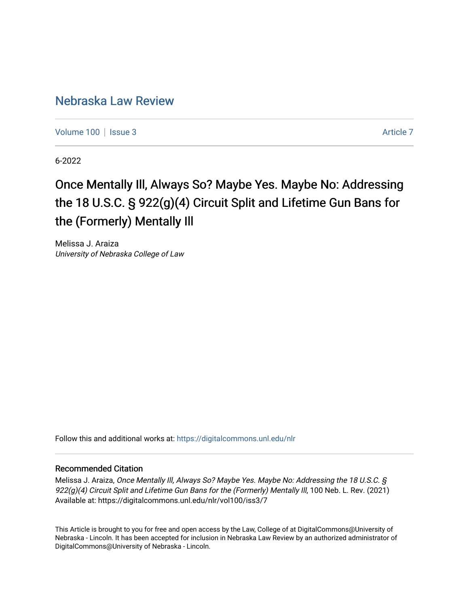### [Nebraska Law Review](https://digitalcommons.unl.edu/nlr)

[Volume 100](https://digitalcommons.unl.edu/nlr/vol100) | [Issue 3](https://digitalcommons.unl.edu/nlr/vol100/iss3) Article 7

6-2022

# Once Mentally III, Always So? Maybe Yes. Maybe No: Addressing the 18 U.S.C. § 922(g)(4) Circuit Split and Lifetime Gun Bans for the (Formerly) Mentally Ill

Melissa J. Araiza University of Nebraska College of Law

Follow this and additional works at: [https://digitalcommons.unl.edu/nlr](https://digitalcommons.unl.edu/nlr?utm_source=digitalcommons.unl.edu%2Fnlr%2Fvol100%2Fiss3%2F7&utm_medium=PDF&utm_campaign=PDFCoverPages) 

### Recommended Citation

Melissa J. Araiza, Once Mentally Ill, Always So? Maybe Yes. Maybe No: Addressing the 18 U.S.C. § 922(g)(4) Circuit Split and Lifetime Gun Bans for the (Formerly) Mentally III, 100 Neb. L. Rev. (2021) Available at: https://digitalcommons.unl.edu/nlr/vol100/iss3/7

This Article is brought to you for free and open access by the Law, College of at DigitalCommons@University of Nebraska - Lincoln. It has been accepted for inclusion in Nebraska Law Review by an authorized administrator of DigitalCommons@University of Nebraska - Lincoln.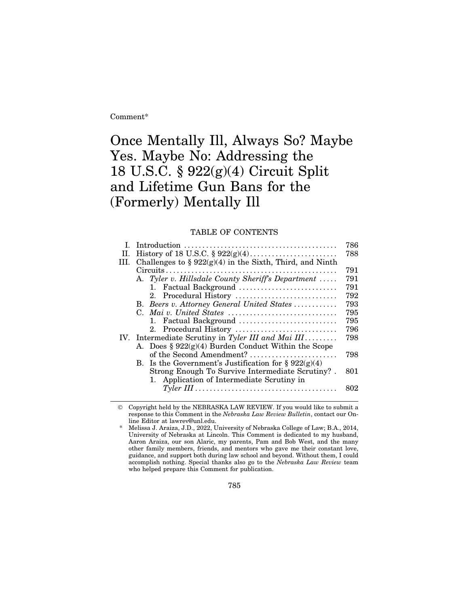Comment\*

## Once Mentally Ill, Always So? Maybe Yes. Maybe No: Addressing the 18 U.S.C. § 922(g)(4) Circuit Split and Lifetime Gun Bans for the (Formerly) Mentally Ill

#### TABLE OF CONTENTS

|      |                                                            | 786 |
|------|------------------------------------------------------------|-----|
| H.   |                                                            | 788 |
| III. | Challenges to § $922(g)(4)$ in the Sixth, Third, and Ninth |     |
|      |                                                            | 791 |
|      | A. Tyler v. Hillsdale County Sheriff's Department          | 791 |
|      | 1. Factual Background                                      | 791 |
|      | 2. Procedural History                                      | 792 |
|      | B. Beers v. Attorney General United States                 | 793 |
|      | C. Mai v. United States                                    | 795 |
|      | 1. Factual Background                                      | 795 |
|      | 2. Procedural History                                      | 796 |
|      | IV. Intermediate Scrutiny in Tyler III and Mai III         | 798 |
|      | A. Does § $922(g)(4)$ Burden Conduct Within the Scope      |     |
|      | of the Second Amendment?                                   | 798 |
|      | B. Is the Government's Justification for $\S 922(g)(4)$    |     |
|      | Strong Enough To Survive Intermediate Scrutiny?.           | 801 |
|      | 1. Application of Intermediate Scrutiny in                 |     |
|      |                                                            | 802 |
|      |                                                            |     |

 Copyright held by the NEBRASKA LAW REVIEW. If you would like to submit a response to this Comment in the *Nebraska Law Review Bulletin*, contact our Online Editor at lawrev@unl.edu.

785

Melissa J. Araiza, J.D., 2022, University of Nebraska College of Law; B.A., 2014, University of Nebraska at Lincoln. This Comment is dedicated to my husband, Aaron Araiza, our son Alaric, my parents, Pam and Bob West, and the many other family members, friends, and mentors who gave me their constant love, guidance, and support both during law school and beyond. Without them, I could accomplish nothing. Special thanks also go to the *Nebraska Law Review* team who helped prepare this Comment for publication.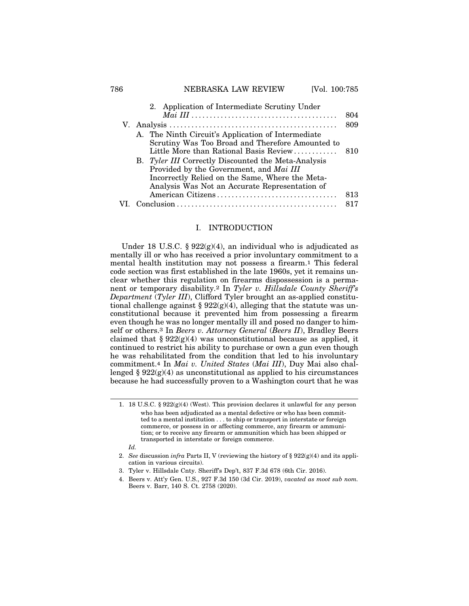#### 786 **NEBRASKA LAW REVIEW** [Vol. 100:785]

| 2. Application of Intermediate Scrutiny Under                                                                                                                                                       |     |
|-----------------------------------------------------------------------------------------------------------------------------------------------------------------------------------------------------|-----|
|                                                                                                                                                                                                     | 804 |
|                                                                                                                                                                                                     | 809 |
| A. The Ninth Circuit's Application of Intermediate<br>Scrutiny Was Too Broad and Therefore Amounted to<br>Little More than Rational Basis Review                                                    | 810 |
| B. Tyler III Correctly Discounted the Meta-Analysis<br>Provided by the Government, and Mai III<br>Incorrectly Relied on the Same, Where the Meta-<br>Analysis Was Not an Accurate Representation of |     |
| American Citizens                                                                                                                                                                                   | 813 |
| $Conclusion \dots \dots \dots \dots \dots \dots \dots \dots \dots \dots \dots \dots \dots \dots \dots \dots$                                                                                        | 817 |

#### I. INTRODUCTION

Under 18 U.S.C. §  $922(g)(4)$ , an individual who is adjudicated as mentally ill or who has received a prior involuntary commitment to a mental health institution may not possess a firearm.1 This federal code section was first established in the late 1960s, yet it remains unclear whether this regulation on firearms dispossession is a permanent or temporary disability.2 In *Tyler v. Hillsdale County Sheriff's Department* (*Tyler III*), Clifford Tyler brought an as-applied constitutional challenge against §  $922(g)(4)$ , alleging that the statute was unconstitutional because it prevented him from possessing a firearm even though he was no longer mentally ill and posed no danger to himself or others.3 In *Beers v. Attorney General* (*Beers II*), Bradley Beers claimed that §  $922(g)(4)$  was unconstitutional because as applied, it continued to restrict his ability to purchase or own a gun even though he was rehabilitated from the condition that led to his involuntary commitment.4 In *Mai v. United States* (*Mai III*), Duy Mai also challenged  $\S 922(g)(4)$  as unconstitutional as applied to his circumstances because he had successfully proven to a Washington court that he was

*Id.*

<sup>1. 18</sup> U.S.C. § 922(g)(4) (West). This provision declares it unlawful for any person who has been adjudicated as a mental defective or who has been committed to a mental institution . . . to ship or transport in interstate or foreign commerce, or possess in or affecting commerce, any firearm or ammunition; or to receive any firearm or ammunition which has been shipped or transported in interstate or foreign commerce.

<sup>2.</sup> *See* discussion *infra* Parts II, V (reviewing the history of § 922(g)(4) and its application in various circuits).

<sup>3.</sup> Tyler v. Hillsdale Cnty. Sheriff's Dep't, 837 F.3d 678 (6th Cir. 2016).

<sup>4.</sup> Beers v. Att'y Gen. U.S., 927 F.3d 150 (3d Cir. 2019), *vacated as moot sub nom.* Beers v. Barr, 140 S. Ct. 2758 (2020).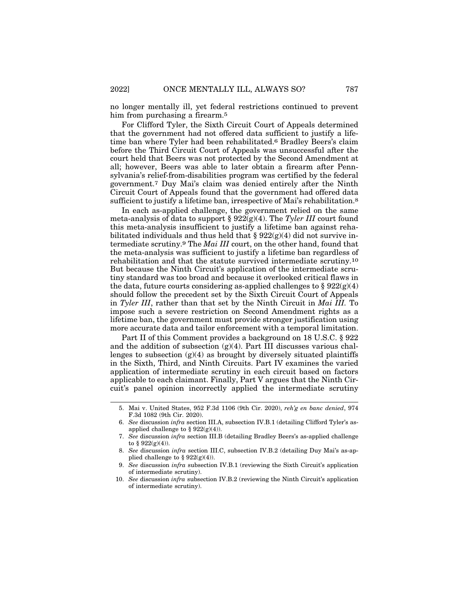no longer mentally ill, yet federal restrictions continued to prevent him from purchasing a firearm.<sup>5</sup>

For Clifford Tyler, the Sixth Circuit Court of Appeals determined that the government had not offered data sufficient to justify a lifetime ban where Tyler had been rehabilitated.6 Bradley Beers's claim before the Third Circuit Court of Appeals was unsuccessful after the court held that Beers was not protected by the Second Amendment at all; however, Beers was able to later obtain a firearm after Pennsylvania's relief-from-disabilities program was certified by the federal government.7 Duy Mai's claim was denied entirely after the Ninth Circuit Court of Appeals found that the government had offered data sufficient to justify a lifetime ban, irrespective of Mai's rehabilitation.<sup>8</sup>

In each as-applied challenge, the government relied on the same meta-analysis of data to support § 922(g)(4). The *Tyler III* court found this meta-analysis insufficient to justify a lifetime ban against rehabilitated individuals and thus held that  $\S 922(g)(4)$  did not survive intermediate scrutiny.9 The *Mai III* court, on the other hand, found that the meta-analysis was sufficient to justify a lifetime ban regardless of rehabilitation and that the statute survived intermediate scrutiny.10 But because the Ninth Circuit's application of the intermediate scrutiny standard was too broad and because it overlooked critical flaws in the data, future courts considering as-applied challenges to  $\S 922(g)(4)$ should follow the precedent set by the Sixth Circuit Court of Appeals in *Tyler III*, rather than that set by the Ninth Circuit in *Mai III.* To impose such a severe restriction on Second Amendment rights as a lifetime ban, the government must provide stronger justification using more accurate data and tailor enforcement with a temporal limitation.

Part II of this Comment provides a background on 18 U.S.C. § 922 and the addition of subsection  $(g)(4)$ . Part III discusses various challenges to subsection  $(g)(4)$  as brought by diversely situated plaintiffs in the Sixth, Third, and Ninth Circuits. Part IV examines the varied application of intermediate scrutiny in each circuit based on factors applicable to each claimant. Finally, Part V argues that the Ninth Circuit's panel opinion incorrectly applied the intermediate scrutiny

<sup>5.</sup> Mai v. United States, 952 F.3d 1106 (9th Cir. 2020), *reh'g en banc denied*, 974 F.3d 1082 (9th Cir. 2020).

<sup>6.</sup> *See* discussion *infra* section III.A, subsection IV.B.1 (detailing Clifford Tyler's asapplied challenge to § 922(g)(4)).

<sup>7.</sup> *See* discussion *infra* section III.B (detailing Bradley Beers's as-applied challenge to §  $922(g)(4)$ ).

<sup>8.</sup> *See* discussion *infra* section III.C, subsection IV.B.2 (detailing Duy Mai's as-applied challenge to  $\S 922(g)(4)$ .

<sup>9.</sup> *See* discussion *infra* subsection IV.B.1 (reviewing the Sixth Circuit's application of intermediate scrutiny).

<sup>10.</sup> *See* discussion *infra* subsection IV.B.2 (reviewing the Ninth Circuit's application of intermediate scrutiny).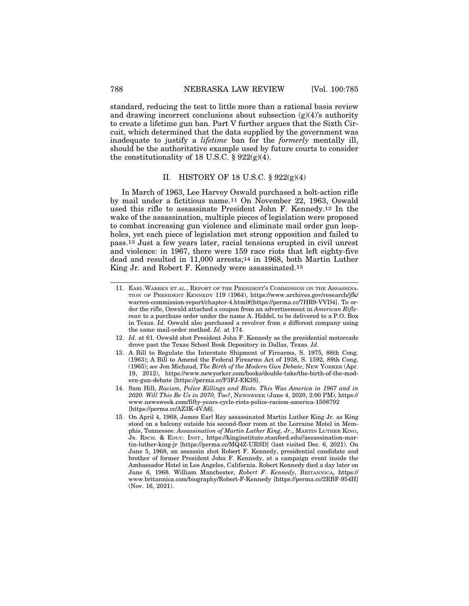standard, reducing the test to little more than a rational basis review and drawing incorrect conclusions about subsection  $(g)(4)$ 's authority to create a lifetime gun ban. Part V further argues that the Sixth Circuit, which determined that the data supplied by the government was inadequate to justify a *lifetime* ban for the *formerly* mentally ill, should be the authoritative example used by future courts to consider the constitutionality of 18 U.S.C.  $\S 922(g)(4)$ .

#### II. HISTORY OF 18 U.S.C.  $\S 922(g)(4)$

In March of 1963, Lee Harvey Oswald purchased a bolt-action rifle by mail under a fictitious name.11 On November 22, 1963, Oswald used this rifle to assassinate President John F. Kennedy.12 In the wake of the assassination, multiple pieces of legislation were proposed to combat increasing gun violence and eliminate mail order gun loopholes, yet each piece of legislation met strong opposition and failed to pass.13 Just a few years later, racial tensions erupted in civil unrest and violence: in 1967, there were 159 race riots that left eighty-five dead and resulted in 11,000 arrests;<sup>14</sup> in 1968, both Martin Luther King Jr. and Robert F. Kennedy were assassinated.15

- 12. *Id.* at 61. Oswald shot President John F. Kennedy as the presidential motorcade drove past the Texas School Book Depository in Dallas, Texas. *Id.*
- 13. A Bill to Regulate the Interstate Shipment of Firearms, S. 1975, 88th Cong. (1963); A Bill to Amend the Federal Firearms Act of 1938, S. 1592, 89th Cong. (1965); *see* Jon Michaud, *The Birth of the Modern Gun Debate*, NEW YORKER (Apr. 19, 2012), https://www.newyorker.com/books/double-take/the-birth-of-the-modern-gun-debate [https://perma.cc/F3FJ-EK3S].
- 14. Sam Hill, *Racism, Police Killings and Riots. This Was America in 1967 and in 2020. Will This Be Us in 2070, Too?*, NEWSWEEK (June 4, 2020, 2:00 PM), https:// www.newsweek.com/fifty-years-cycle-riots-police-racism-america-1508792 [https://perma.cc/AZ3K-4VA6].
- 15. On April 4, 1968, James Earl Ray assassinated Martin Luther King Jr. as King stood on a balcony outside his second-floor room at the Lorraine Motel in Memphis, Tennessee. *Assassination of Martin Luther King, Jr.*, MARTIN LUTHER KING, JR. RSCH. & EDUC. INST., https://kinginstitute.stanford.edu//assassination-martin-luther-king-jr [https://perma.cc/MQ4Z-URSD] (last visited Dec. 6, 2021). On June 5, 1968, an assassin shot Robert F. Kennedy, presidential candidate and brother of former President John F. Kennedy, at a campaign event inside the Ambassador Hotel in Los Angeles, California. Robert Kennedy died a day later on June 6, 1968. William Manchester, *Robert F. Kennedy*, BRITANNICA, https:// www.britannica.com/biography/Robert-F-Kennedy [https://perma.cc/2RBF-954H] (Nov. 16, 2021).

<sup>11.</sup> EARL WARREN ET AL., REPORT OF THE PRESIDENT'S COMMISSION ON THE ASSASSINA-TION OF PRESIDENT KENNEDY 119 (1964), https://www.archives.gov/research/jfk/ warren-commission-report/chapter-4.html#[https://perma.cc/7HR9-VVD4]. To order the rifle, Oswald attached a coupon from an advertisement in *American Rifleman* to a purchase order under the name A. Hiddel, to be delivered to a P.O. Box in Texas. *Id.* Oswald also purchased a revolver from a different company using the same mail-order method. *Id.* at 174.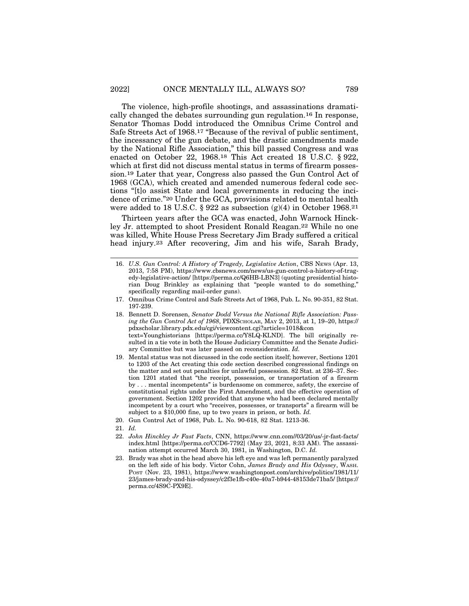The violence, high-profile shootings, and assassinations dramatically changed the debates surrounding gun regulation.16 In response, Senator Thomas Dodd introduced the Omnibus Crime Control and Safe Streets Act of 1968.17 "Because of the revival of public sentiment, the incessancy of the gun debate, and the drastic amendments made by the National Rifle Association," this bill passed Congress and was enacted on October 22, 1968.18 This Act created 18 U.S.C. § 922, which at first did not discuss mental status in terms of firearm possession.19 Later that year, Congress also passed the Gun Control Act of 1968 (GCA), which created and amended numerous federal code sections "[t]o assist State and local governments in reducing the incidence of crime."20 Under the GCA, provisions related to mental health were added to 18 U.S.C. § 922 as subsection  $(g)(4)$  in October 1968.<sup>21</sup>

Thirteen years after the GCA was enacted, John Warnock Hinckley Jr. attempted to shoot President Ronald Reagan.22 While no one was killed, White House Press Secretary Jim Brady suffered a critical head injury.23 After recovering, Jim and his wife, Sarah Brady,

<sup>16.</sup> *U.S. Gun Control: A History of Tragedy, Legislative Action*, CBS NEWS (Apr. 13, 2013, 7:58 PM), https://www.cbsnews.com/news/us-gun-control-a-history-of-tragedy-legislative-action/ [https://perma.cc/Q6HB-LBN3] (quoting presidential historian Doug Brinkley as explaining that "people wanted to do something," specifically regarding mail-order guns).

<sup>17.</sup> Omnibus Crime Control and Safe Streets Act of 1968, Pub. L. No. 90-351, 82 Stat. 197-239.

<sup>18.</sup> Bennett D. Sorensen, *Senator Dodd Versus the National Rifle Association: Passing the Gun Control Act of 1968*, PDXSCHOLAR, MAY 2, 2013, at 1, 19–20, https:// pdxscholar.library.pdx.edu/cgi/viewcontent.cgi?article=1018&con text=Younghistorians [https://perma.cc/Y8LQ-KLND]. The bill originally resulted in a tie vote in both the House Judiciary Committee and the Senate Judiciary Committee but was later passed on reconsideration. *Id.*

<sup>19.</sup> Mental status was not discussed in the code section itself; however, Sections 1201 to 1203 of the Act creating this code section described congressional findings on the matter and set out penalties for unlawful possession. 82 Stat. at 236–37. Section 1201 stated that "the receipt, possession, or transportation of a firearm by . . . mental incompetents" is burdensome on commerce, safety, the exercise of constitutional rights under the First Amendment, and the effective operation of government. Section 1202 provided that anyone who had been declared mentally incompetent by a court who "receives, possesses, or transports" a firearm will be subject to a \$10,000 fine, up to two years in prison, or both. *Id.*

<sup>20.</sup> Gun Control Act of 1968, Pub. L. No. 90-618, 82 Stat. 1213-36.

<sup>21.</sup> *Id.*

<sup>22.</sup> *John Hinckley Jr Fast Facts*, CNN, https://www.cnn.com//03/20/us/-jr-fast-facts/ index.html [https://perma.cc/CCD6-7792] (May 23, 2021, 8:33 AM). The assassination attempt occurred March 30, 1981, in Washington, D.C. *Id.*

<sup>23.</sup> Brady was shot in the head above his left eye and was left permanently paralyzed on the left side of his body. Victor Cohn, *James Brady and His Odyssey*, WASH. POST (Nov. 23, 1981), https://www.washingtonpost.com/archive/politics/1981/11/ 23/james-brady-and-his-odyssey/c2f3e1fb-c40e-40a7-b944-48153de71ba5/ [https:// perma.cc/4S9C-PX9E].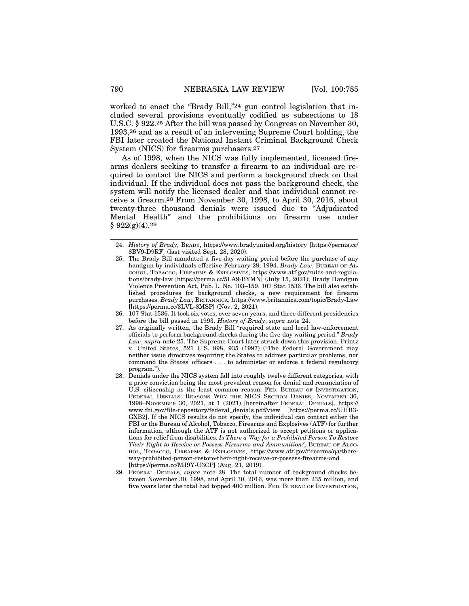worked to enact the "Brady Bill,"24 gun control legislation that included several provisions eventually codified as subsections to 18 U.S.C. § 922.25 After the bill was passed by Congress on November 30, 1993,26 and as a result of an intervening Supreme Court holding, the FBI later created the National Instant Criminal Background Check System (NICS) for firearms purchasers.27

As of 1998, when the NICS was fully implemented, licensed firearms dealers seeking to transfer a firearm to an individual are required to contact the NICS and perform a background check on that individual. If the individual does not pass the background check, the system will notify the licensed dealer and that individual cannot receive a firearm.28 From November 30, 1998, to April 30, 2016, about twenty-three thousand denials were issued due to "Adjudicated Mental Health" and the prohibitions on firearm use under  $§ 922(g)(4).29$ 

<sup>24.</sup> *History of Brady*, BRADY, https://www.bradyunited.org/history [https://perma.cc/ 8BV9-D9RF] (last visited Sept. 28, 2020).

<sup>25.</sup> The Brady Bill mandated a five-day waiting period before the purchase of any handgun by individuals effective February 28, 1994. *Brady Law*, BUREAU OF AL-COHOL, TOBACCO, FIREARMS & EXPLOSIVES, https://www.atf.gov/rules-and-regulations/brady-law [https://perma.cc/5LA9-BYMN] (July 15, 2021); Brady Handgun Violence Prevention Act, Pub. L. No. 103–159, 107 Stat 1536. The bill also established procedures for background checks, a new requirement for firearm purchases. *Brady Law*, BRITANNICA, https://www.britannica.com/topic/Brady-Law [https://perma.cc/3LVL-8MSP] (Nov. 2, 2021).

<sup>26. 107</sup> Stat 1536. It took six votes, over seven years, and three different presidencies before the bill passed in 1993. *History of Brady*, *supra* note 24.

<sup>27.</sup> As originally written, the Brady Bill "required state and local law-enforcement officials to perform background checks during the five-day waiting period." *Brady Law*, *supra* note 25. The Supreme Court later struck down this provision. Printz v. United States, 521 U.S. 898, 935 (1997) ("The Federal Government may neither issue directives requiring the States to address particular problems, nor command the States' officers . . . to administer or enforce a federal regulatory program.").

<sup>28.</sup> Denials under the NICS system fall into roughly twelve different categories, with a prior conviction being the most prevalent reason for denial and renunciation of U.S. citizenship as the least common reason. FED. BUREAU OF INVESTIGATION, FEDERAL DENIALS: REASONS WHY THE NICS SECTION DENIES, NOVEMBER 30, 1998–NOVEMBER 30, 2021, at 1 (2021) [hereinafter FEDERAL DENIALS], https:// www.fbi.gov/file-repository/federal\_denials.pdf/view [https://perma.cc/UHB3- GXB2]. If the NICS results do not specify, the individual can contact either the FBI or the Bureau of Alcohol, Tobacco, Firearms and Explosives (ATF) for further information, although the ATF is not authorized to accept petitions or applications for relief from disabilities. *Is There a Way for a Prohibited Person To Restore Their Right to Receive or Possess Firearms and Ammunition?,* BUREAU OF ALCO-HOL, TOBACCO, FIREARMS & EXPLOSIVES, https://www.atf.gov/firearms/qa/thereway-prohibited-person-restore-their-right-receive-or-possess-firearms-and [https://perma.cc/MJ9Y-U3CP] (Aug. 21, 2019).

<sup>29.</sup> FEDERAL DENIALS*, supra* note 28. The total number of background checks between November 30, 1998, and April 30, 2016, was more than 235 million, and five years later the total had topped 400 million. FED. BUREAU OF INVESTIGATION,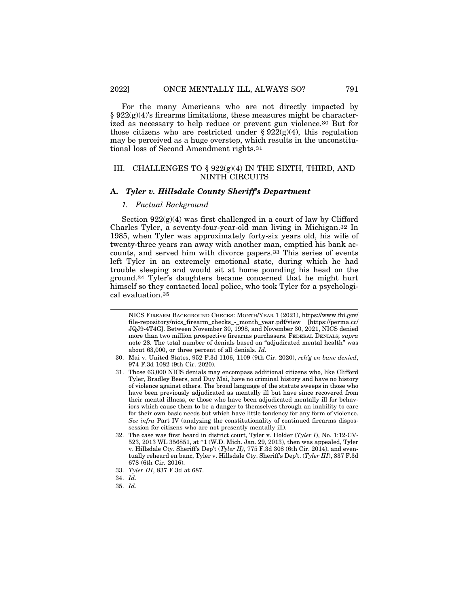For the many Americans who are not directly impacted by  $\S 922(g)(4)$ 's firearms limitations, these measures might be characterized as necessary to help reduce or prevent gun violence.30 But for those citizens who are restricted under §  $922(g)(4)$ , this regulation may be perceived as a huge overstep, which results in the unconstitutional loss of Second Amendment rights.31

#### III. CHALLENGES TO § 922(g)(4) IN THE SIXTH, THIRD, AND NINTH CIRCUITS

#### **A.** *Tyler v. Hillsdale County Sheriff's Department*

#### *1. Factual Background*

Section  $922(g)(4)$  was first challenged in a court of law by Clifford Charles Tyler, a seventy-four-year-old man living in Michigan.32 In 1985, when Tyler was approximately forty-six years old, his wife of twenty-three years ran away with another man, emptied his bank accounts, and served him with divorce papers.33 This series of events left Tyler in an extremely emotional state, during which he had trouble sleeping and would sit at home pounding his head on the ground.34 Tyler's daughters became concerned that he might hurt himself so they contacted local police, who took Tyler for a psychological evaluation.35

NICS FIREARM BACKGROUND CHECKS: MONTH/YEAR 1 (2021), https://www.fbi.gov/ file-repository/nics\_firearm\_checks\_-\_month\_year.pdf/view [https://perma.cc/ JQJ9-4T4G]. Between November 30, 1998, and November 30, 2021, NICS denied more than two million prospective firearms purchasers. FEDERAL DENIALS*, supra* note 28. The total number of denials based on "adjudicated mental health" was about 63,000, or three percent of all denials. *Id.*

<sup>30.</sup> Mai v. United States, 952 F.3d 1106, 1109 (9th Cir. 2020), *reh'g en banc denied*, 974 F.3d 1082 (9th Cir. 2020).

<sup>31.</sup> Those 63,000 NICS denials may encompass additional citizens who, like Clifford Tyler, Bradley Beers, and Duy Mai, have no criminal history and have no history of violence against others. The broad language of the statute sweeps in those who have been previously adjudicated as mentally ill but have since recovered from their mental illness, or those who have been adjudicated mentally ill for behaviors which cause them to be a danger to themselves through an inability to care for their own basic needs but which have little tendency for any form of violence. *See infra* Part IV (analyzing the constitutionality of continued firearms dispossession for citizens who are not presently mentally ill).

<sup>32.</sup> The case was first heard in district court, Tyler v. Holder (*Tyler I*), No. 1:12-CV-523, 2013 WL 356851, at \*1 (W.D. Mich. Jan. 29, 2013), then was appealed, Tyler v. Hillsdale Cty. Sheriff's Dep't (*Tyler II)*, 775 F.3d 308 (6th Cir. 2014), and eventually reheard en banc, Tyler v. Hillsdale Cty. Sheriff's Dep't. (*Tyler III*), 837 F.3d 678 (6th Cir. 2016).

<sup>33.</sup> *Tyler III*, 837 F.3d at 687.

<sup>34.</sup> *Id.*

<sup>35.</sup> *Id.*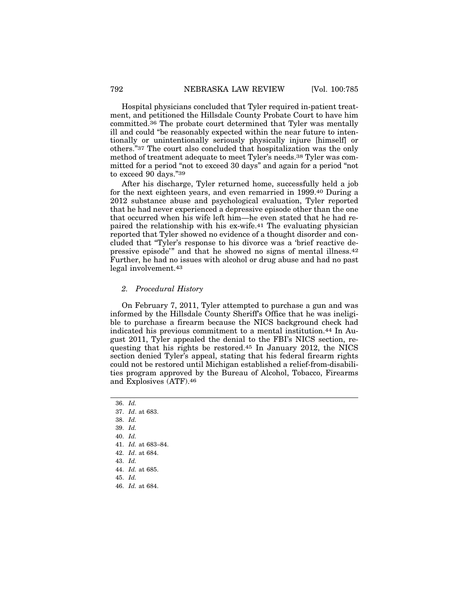Hospital physicians concluded that Tyler required in-patient treatment, and petitioned the Hillsdale County Probate Court to have him committed.36 The probate court determined that Tyler was mentally ill and could "be reasonably expected within the near future to intentionally or unintentionally seriously physically injure [himself] or others."37 The court also concluded that hospitalization was the only method of treatment adequate to meet Tyler's needs.38 Tyler was committed for a period "not to exceed 30 days" and again for a period "not to exceed 90 days."39

After his discharge, Tyler returned home, successfully held a job for the next eighteen years, and even remarried in 1999.40 During a 2012 substance abuse and psychological evaluation, Tyler reported that he had never experienced a depressive episode other than the one that occurred when his wife left him—he even stated that he had repaired the relationship with his ex-wife.41 The evaluating physician reported that Tyler showed no evidence of a thought disorder and concluded that "Tyler's response to his divorce was a 'brief reactive depressive episode'" and that he showed no signs of mental illness.42 Further, he had no issues with alcohol or drug abuse and had no past legal involvement.43

#### *2. Procedural History*

On February 7, 2011, Tyler attempted to purchase a gun and was informed by the Hillsdale County Sheriff's Office that he was ineligible to purchase a firearm because the NICS background check had indicated his previous commitment to a mental institution.44 In August 2011, Tyler appealed the denial to the FBI's NICS section, requesting that his rights be restored.45 In January 2012, the NICS section denied Tyler's appeal, stating that his federal firearm rights could not be restored until Michigan established a relief-from-disabilities program approved by the Bureau of Alcohol, Tobacco, Firearms and Explosives (ATF).46

<sup>36.</sup> *Id.*

<sup>37.</sup> *Id*. at 683.

<sup>38.</sup> *Id.*

<sup>39.</sup> *Id.*

<sup>40.</sup> *Id.*

<sup>41.</sup> *Id.* at 683–84.

<sup>42.</sup> *Id*. at 684.

<sup>43.</sup> *Id.*

<sup>44.</sup> *Id.* at 685.

<sup>45.</sup> *Id.*

<sup>46.</sup> *Id.* at 684.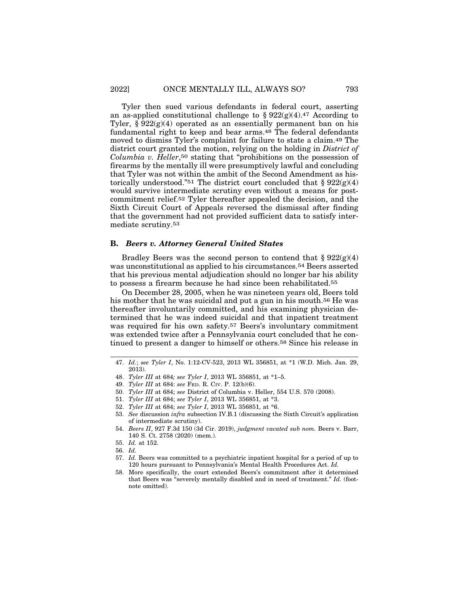Tyler then sued various defendants in federal court, asserting an as-applied constitutional challenge to  $\S 922(g)(4)$ .<sup>47</sup> According to Tyler,  $\S 922(g)(4)$  operated as an essentially permanent ban on his fundamental right to keep and bear arms.48 The federal defendants moved to dismiss Tyler's complaint for failure to state a claim.49 The district court granted the motion, relying on the holding in *District of Columbia v. Heller*,50 stating that "prohibitions on the possession of firearms by the mentally ill were presumptively lawful and concluding that Tyler was not within the ambit of the Second Amendment as historically understood."<sup>51</sup> The district court concluded that  $\S 922(g)(4)$ would survive intermediate scrutiny even without a means for postcommitment relief.52 Tyler thereafter appealed the decision, and the Sixth Circuit Court of Appeals reversed the dismissal after finding that the government had not provided sufficient data to satisfy intermediate scrutiny.53

#### **B.** *Beers v. Attorney General United States*

Bradley Beers was the second person to contend that  $\S 922(g)(4)$ was unconstitutional as applied to his circumstances.54 Beers asserted that his previous mental adjudication should no longer bar his ability to possess a firearm because he had since been rehabilitated.55

On December 28, 2005, when he was nineteen years old, Beers told his mother that he was suicidal and put a gun in his mouth.<sup>56</sup> He was thereafter involuntarily committed, and his examining physician determined that he was indeed suicidal and that inpatient treatment was required for his own safety.57 Beers's involuntary commitment was extended twice after a Pennsylvania court concluded that he continued to present a danger to himself or others.58 Since his release in

50. *Tyler III* at 684; *see* District of Columbia v. Heller, 554 U.S. 570 (2008).

57. *Id.* Beers was committed to a psychiatric inpatient hospital for a period of up to 120 hours pursuant to Pennsylvania's Mental Health Procedures Act. *Id.*

<sup>47.</sup> *Id.*; *see Tyler I*, No. 1:12-CV-523, 2013 WL 356851, at \*1 (W.D. Mich. Jan. 29, 2013).

<sup>48.</sup> *Tyler III* at 684*; see Tyler I*, 2013 WL 356851, at \*1–5.

<sup>49.</sup> *Tyler III* at 684: *see* FED. R. CIV. P. 12(b)(6).

<sup>51.</sup> *Tyler III* at 684; *see Tyler I*, 2013 WL 356851, at \*3.

<sup>52.</sup> *Tyler III* at 684; *see Tyler I*, 2013 WL 356851, at \*6.

<sup>53.</sup> *See* discussion *infra* subsection IV.B.1 (discussing the Sixth Circuit's application of intermediate scrutiny).

<sup>54.</sup> *Beers II*, 927 F.3d 150 (3d Cir. 2019), *judgment vacated sub nom.* Beers v. Barr, 140 S. Ct. 2758 (2020) (mem.).

<sup>55.</sup> *Id.* at 152.

<sup>56.</sup> *Id.*

<sup>58.</sup> More specifically, the court extended Beers's commitment after it determined that Beers was "severely mentally disabled and in need of treatment." *Id.* (footnote omitted).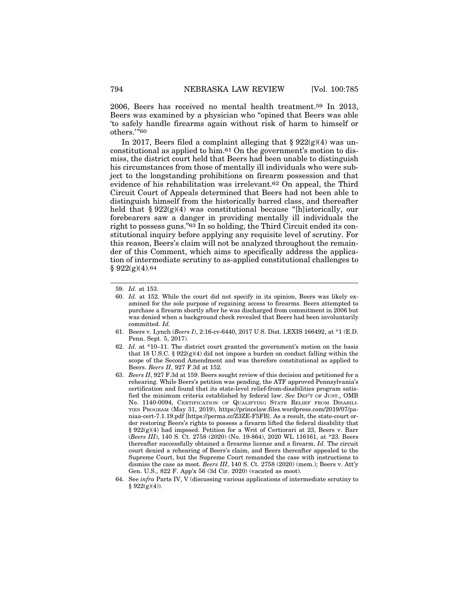2006, Beers has received no mental health treatment.59 In 2013, Beers was examined by a physician who "opined that Beers was able 'to safely handle firearms again without risk of harm to himself or others.'"60

In 2017, Beers filed a complaint alleging that  $\S 922(g)(4)$  was unconstitutional as applied to him.61 On the government's motion to dismiss, the district court held that Beers had been unable to distinguish his circumstances from those of mentally ill individuals who were subject to the longstanding prohibitions on firearm possession and that evidence of his rehabilitation was irrelevant.62 On appeal, the Third Circuit Court of Appeals determined that Beers had not been able to distinguish himself from the historically barred class, and thereafter held that § 922(g)(4) was constitutional because "[h]istorically, our forebearers saw a danger in providing mentally ill individuals the right to possess guns."63 In so holding, the Third Circuit ended its constitutional inquiry before applying any requisite level of scrutiny. For this reason, Beers's claim will not be analyzed throughout the remainder of this Comment, which aims to specifically address the application of intermediate scrutiny to as-applied constitutional challenges to  $§ 922(g)(4).64$ 

<sup>59.</sup> *Id.* at 153.

<sup>60.</sup> *Id.* at 152. While the court did not specify in its opinion, Beers was likely examined for the sole purpose of regaining access to firearms. Beers attempted to purchase a firearm shortly after he was discharged from commitment in 2006 but was denied when a background check revealed that Beers had been involuntarily committed. *Id.*

<sup>61.</sup> Beers v. Lynch (*Beers I*), 2:16-cv-6440, 2017 U.S. Dist. LEXIS 166492, at \*1 (E.D. Penn. Sept. 5, 2017).

<sup>62.</sup> *Id.* at \*10–11. The district court granted the government's motion on the basis that 18 U.S.C. § 922 $(g)(4)$  did not impose a burden on conduct falling within the scope of the Second Amendment and was therefore constitutional as applied to Beers. *Beers II*, 927 F.3d at 152.

<sup>63.</sup> *Beers II*, 927 F.3d at 159. Beers sought review of this decision and petitioned for a rehearing. While Beers's petition was pending, the ATF approved Pennsylvania's certification and found that its state-level relief-from-disabilities program satisfied the minimum criteria established by federal law. *See* DEP'T OF JUST., OMB No. 1140-0094, CERTIFICATION OF QUALIFYING STATE RELIEF FROM DISABILI-TIES PROGRAM (May 31, 2019), https://princelaw.files.wordpress.com/2019/07/paniaa-cert-7.1.19.pdf [https://perma.cc/Z3ZE-F5FB]. As a result, the state-court order restoring Beers's rights to possess a firearm lifted the federal disability that § 922(g)(4) had imposed. Petition for a Writ of Certiorari at 23, Beers v. Barr (*Beers III*), 140 S. Ct. 2758 (2020) (No. 19-864), 2020 WL 116161, at \*23. Beers thereafter successfully obtained a firearms license and a firearm. *Id.* The circuit court denied a rehearing of Beers's claim, and Beers thereafter appealed to the Supreme Court, but the Supreme Court remanded the case with instructions to dismiss the case as moot. *Beers III*, 140 S. Ct. 2758 (2020) (mem.); Beers v. Att'y Gen. U.S., 822 F. App'x 56 (3d Cir. 2020) (vacated as moot).

<sup>64.</sup> See *infra* Parts IV, V (discussing various applications of intermediate scrutiny to  $§ 922(g)(4)$ .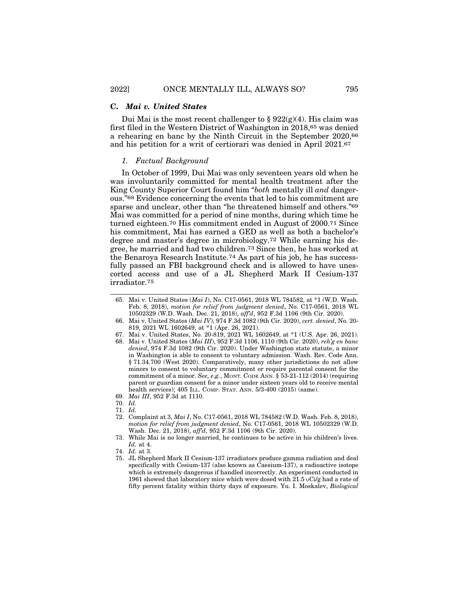#### **C.** *Mai v. United States*

Dui Mai is the most recent challenger to  $\S 922(g)(4)$ . His claim was first filed in the Western District of Washington in 2018,65 was denied a rehearing en banc by the Ninth Circuit in the September 2020,66 and his petition for a writ of certiorari was denied in April 2021.67

#### *1. Factual Background*

In October of 1999, Dui Mai was only seventeen years old when he was involuntarily committed for mental health treatment after the King County Superior Court found him "*both* mentally ill *and* dangerous."68 Evidence concerning the events that led to his commitment are sparse and unclear, other than "he threatened himself and others."69 Mai was committed for a period of nine months, during which time he turned eighteen.70 His commitment ended in August of 2000.71 Since his commitment, Mai has earned a GED as well as both a bachelor's degree and master's degree in microbiology.72 While earning his degree, he married and had two children.73 Since then, he has worked at the Benaroya Research Institute.74 As part of his job, he has successfully passed an FBI background check and is allowed to have unescorted access and use of a JL Shepherd Mark II Cesium-137 irradiator.75

- 70. *Id.*
- 71. *Id.*
- 72. Complaint at 3, *Mai I*, No. C17-0561, 2018 WL 784582 (W.D. Wash. Feb. 8, 2018), *motion for relief from judgment denied*, No. C17-0561, 2018 WL 10502329 (W.D. Wash. Dec. 21, 2018), *aff'd*, 952 F.3d 1106 (9th Cir. 2020).

75. JL Shepherd Mark II Cesium-137 irradiators produce gamma radiation and deal specifically with Cesium-137 (also known as Caesium-137), a radioactive isotope which is extremely dangerous if handled incorrectly. An experiment conducted in 1961 showed that laboratory mice which were dosed with  $21.5 \text{ } U$  and a rate of fifty percent fatality within thirty days of exposure. Yu. I. Moskalev, *Biological*

<sup>65.</sup> Mai v. United States (*Mai I*), No. C17-0561, 2018 WL 784582, at \*1 (W.D. Wash. Feb. 8, 2018), *motion for relief from judgment denied*, No. C17-0561, 2018 WL 10502329 (W.D. Wash. Dec. 21, 2018), *aff'd*, 952 F.3d 1106 (9th Cir. 2020).

<sup>66.</sup> Mai v. United States (*Mai IV*), 974 F.3d 1082 (9th Cir. 2020), *cert. denied*, No. 20- 819, 2021 WL 1602649, at \*1 (Apr. 26, 2021).

<sup>67.</sup> Mai v. United States, No. 20-819, 2021 WL 1602649, at \*1 (U.S. Apr. 26, 2021).

<sup>68.</sup> Mai v. United States (*Mai III*), 952 F.3d 1106, 1110 (9th Cir. 2020), *reh'g en banc denied*, 974 F.3d 1082 (9th Cir. 2020). Under Washington state statute, a minor in Washington is able to consent to voluntary admission. Wash. Rev. Code Ann. § 71.34.700 (West 2020). Comparatively, many other jurisdictions do not allow minors to consent to voluntary commitment or require parental consent for the commitment of a minor. *See, e.g.*, MONT. CODE ANN. § 53-21-112 (2014) (requiring parent or guardian consent for a minor under sixteen years old to receive mental health services); 405 ILL. COMP. STAT. ANN. 5/3-400 (2015) (same).

<sup>69.</sup> *Mai III*, 952 F.3d at 1110.

<sup>73.</sup> While Mai is no longer married, he continues to be active in his children's lives. *Id.* at 4.

<sup>74.</sup> *Id.* at 3.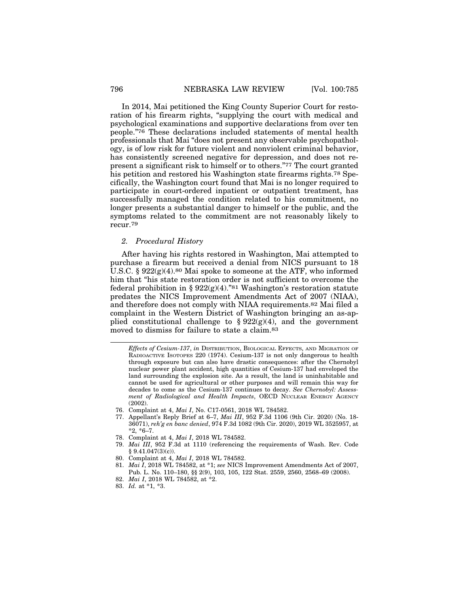In 2014, Mai petitioned the King County Superior Court for restoration of his firearm rights, "supplying the court with medical and psychological examinations and supportive declarations from over ten people."76 These declarations included statements of mental health professionals that Mai "does not present any observable psychopathology, is of low risk for future violent and nonviolent criminal behavior, has consistently screened negative for depression, and does not represent a significant risk to himself or to others."77 The court granted his petition and restored his Washington state firearms rights.78 Specifically, the Washington court found that Mai is no longer required to participate in court-ordered inpatient or outpatient treatment, has successfully managed the condition related to his commitment, no longer presents a substantial danger to himself or the public, and the symptoms related to the commitment are not reasonably likely to recur.79

#### *2. Procedural History*

After having his rights restored in Washington, Mai attempted to purchase a firearm but received a denial from NICS pursuant to 18 U.S.C.  $\S 922(g)(4)$ .<sup>80</sup> Mai spoke to someone at the ATF, who informed him that "his state restoration order is not sufficient to overcome the federal prohibition in §  $922(g)(4)$ ."<sup>81</sup> Washington's restoration statute predates the NICS Improvement Amendments Act of 2007 (NIAA), and therefore does not comply with NIAA requirements.82 Mai filed a complaint in the Western District of Washington bringing an as-applied constitutional challenge to  $\S 922(g)(4)$ , and the government moved to dismiss for failure to state a claim.83

- 76. Complaint at 4, *Mai I*, No. C17-0561, 2018 WL 784582.
- 77. Appellant's Reply Brief at 6–7, *Mai III*, 952 F.3d 1106 (9th Cir. 2020) (No. 18- 36071), *reh'g en banc denied*, 974 F.3d 1082 (9th Cir. 2020), 2019 WL 3525957, at \*2, \*6–7.
- 78. Complaint at 4, *Mai I*, 2018 WL 784582.
- 79. *Mai III*, 952 F.3d at 1110 (referencing the requirements of Wash. Rev. Code  $§ 9.41.047(3)(c)$ .
- 80. Complaint at 4, *Mai I*, 2018 WL 784582.
- 81. *Mai I*, 2018 WL 784582, at \*1; *see* NICS Improvement Amendments Act of 2007, Pub. L. No. 110–180, §§ 2(9), 103, 105, 122 Stat. 2559, 2560, 2568–69 (2008).
- 82. *Mai I*, 2018 WL 784582, at \*2.
- 83. *Id.* at \*1, \*3.

*Effects of Cesium-137*, *in* DISTRIBUTION, BIOLOGICAL EFFECTS, AND MIGRATION OF RADIOACTIVE ISOTOPES 220 (1974). Cesium-137 is not only dangerous to health through exposure but can also have drastic consequences: after the Chernobyl nuclear power plant accident, high quantities of Cesium-137 had enveloped the land surrounding the explosion site. As a result, the land is uninhabitable and cannot be used for agricultural or other purposes and will remain this way for decades to come as the Cesium-137 continues to decay. *See Chernobyl: Assessment of Radiological and Health Impacts*, OECD NUCLEAR ENERGY AGENCY (2002).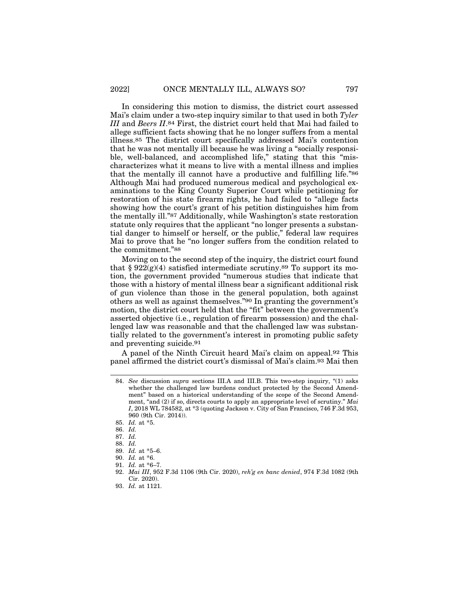In considering this motion to dismiss, the district court assessed Mai's claim under a two-step inquiry similar to that used in both *Tyler III* and *Beers II*.84 First, the district court held that Mai had failed to allege sufficient facts showing that he no longer suffers from a mental illness.85 The district court specifically addressed Mai's contention that he was not mentally ill because he was living a "socially responsible, well-balanced, and accomplished life," stating that this "mischaracterizes what it means to live with a mental illness and implies that the mentally ill cannot have a productive and fulfilling life."86 Although Mai had produced numerous medical and psychological examinations to the King County Superior Court while petitioning for restoration of his state firearm rights, he had failed to "allege facts showing how the court's grant of his petition distinguishes him from the mentally ill."87 Additionally, while Washington's state restoration statute only requires that the applicant "no longer presents a substantial danger to himself or herself, or the public," federal law requires Mai to prove that he "no longer suffers from the condition related to the commitment."88

Moving on to the second step of the inquiry, the district court found that  $\S 922(g)(4)$  satisfied intermediate scrutiny.<sup>89</sup> To support its motion, the government provided "numerous studies that indicate that those with a history of mental illness bear a significant additional risk of gun violence than those in the general population, both against others as well as against themselves."90 In granting the government's motion, the district court held that the "fit" between the government's asserted objective (i.e., regulation of firearm possession) and the challenged law was reasonable and that the challenged law was substantially related to the government's interest in promoting public safety and preventing suicide.91

A panel of the Ninth Circuit heard Mai's claim on appeal.92 This panel affirmed the district court's dismissal of Mai's claim.93 Mai then

<sup>84.</sup> *See* discussion *supra* sections III.A and III.B. This two-step inquiry, "(1) asks whether the challenged law burdens conduct protected by the Second Amendment" based on a historical understanding of the scope of the Second Amendment, "and (2) if so, directs courts to apply an appropriate level of scrutiny." *Mai I*, 2018 WL 784582, at \*3 (quoting Jackson v. City of San Francisco, 746 F.3d 953, 960 (9th Cir. 2014)).

<sup>85.</sup> *Id.* at \*5.

<sup>86.</sup> *Id.*

<sup>87.</sup> *Id.*

<sup>88.</sup> *Id.*

<sup>89.</sup> *Id.* at \*5–6.

<sup>90.</sup> *Id.* at \*6.

<sup>91.</sup> *Id.* at \*6–7.

<sup>92.</sup> *Mai III*, 952 F.3d 1106 (9th Cir. 2020), *reh'g en banc denied*, 974 F.3d 1082 (9th Cir. 2020).

<sup>93.</sup> *Id.* at 1121.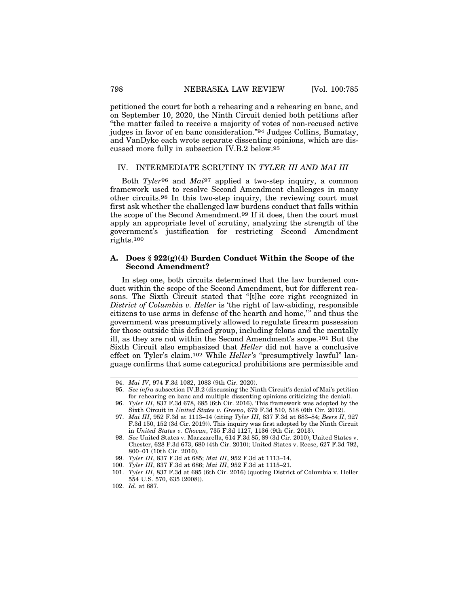petitioned the court for both a rehearing and a rehearing en banc, and on September 10, 2020, the Ninth Circuit denied both petitions after "the matter failed to receive a majority of votes of non-recused active judges in favor of en banc consideration."94 Judges Collins, Bumatay, and VanDyke each wrote separate dissenting opinions, which are discussed more fully in subsection IV.B.2 below.95

#### IV. INTERMEDIATE SCRUTINY IN *TYLER III AND MAI III*

Both *Tyler*96 and *Mai*97 applied a two-step inquiry, a common framework used to resolve Second Amendment challenges in many other circuits.98 In this two-step inquiry, the reviewing court must first ask whether the challenged law burdens conduct that falls within the scope of the Second Amendment.99 If it does, then the court must apply an appropriate level of scrutiny, analyzing the strength of the government's justification for restricting Second Amendment rights.100

#### **A. Does § 922(g)(4) Burden Conduct Within the Scope of the Second Amendment?**

In step one, both circuits determined that the law burdened conduct within the scope of the Second Amendment, but for different reasons. The Sixth Circuit stated that "[t]he core right recognized in *District of Columbia v. Heller* is 'the right of law-abiding, responsible citizens to use arms in defense of the hearth and home,'" and thus the government was presumptively allowed to regulate firearm possession for those outside this defined group, including felons and the mentally ill, as they are not within the Second Amendment's scope.101 But the Sixth Circuit also emphasized that *Heller* did not have a conclusive effect on Tyler's claim.102 While *Heller's* "presumptively lawful" language confirms that some categorical prohibitions are permissible and

<sup>94.</sup> *Mai IV*, 974 F.3d 1082, 1083 (9th Cir. 2020).

<sup>95.</sup> *See infra* subsection IV.B.2 (discussing the Ninth Circuit's denial of Mai's petition for rehearing en banc and multiple dissenting opinions criticizing the denial).

<sup>96.</sup> *Tyler III*, 837 F.3d 678, 685 (6th Cir. 2016). This framework was adopted by the Sixth Circuit in *United States v. Greeno*, 679 F.3d 510, 518 (6th Cir. 2012).

<sup>97.</sup> *Mai III*, 952 F.3d at 1113–14 (citing *Tyler III*, 837 F.3d at 683–84; *Beers II*, 927 F.3d 150, 152 (3d Cir. 2019)). This inquiry was first adopted by the Ninth Circuit in *United States v. Chovan*, 735 F.3d 1127, 1136 (9th Cir. 2013).

<sup>98.</sup> *See* United States v. Marzzarella, 614 F.3d 85, 89 (3d Cir. 2010); United States v. Chester, 628 F.3d 673, 680 (4th Cir. 2010); United States v. Reese, 627 F.3d 792, 800–01 (10th Cir. 2010).

<sup>99.</sup> *Tyler III*, 837 F.3d at 685; *Mai III*, 952 F.3d at 1113–14.

<sup>100.</sup> *Tyler III*, 837 F.3d at 686; *Mai III*, 952 F.3d at 1115–21.

<sup>101.</sup> *Tyler III*, 837 F.3d at 685 (6th Cir. 2016) (quoting District of Columbia v. Heller 554 U.S. 570, 635 (2008)).

<sup>102.</sup> *Id.* at 687.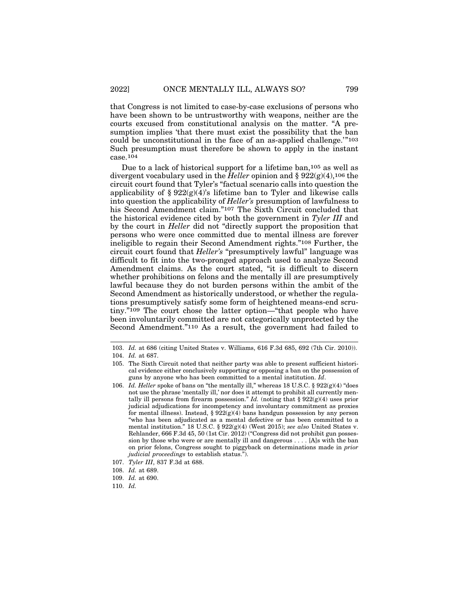that Congress is not limited to case-by-case exclusions of persons who have been shown to be untrustworthy with weapons, neither are the courts excused from constitutional analysis on the matter. "A presumption implies 'that there must exist the possibility that the ban could be unconstitutional in the face of an as-applied challenge.'"103 Such presumption must therefore be shown to apply in the instant case.104

Due to a lack of historical support for a lifetime ban,105 as well as divergent vocabulary used in the *Heller* opinion and §  $922(g)(4)$ , 106 the circuit court found that Tyler's "factual scenario calls into question the applicability of §  $922(g)(4)$ 's lifetime ban to Tyler and likewise calls into question the applicability of *Heller's* presumption of lawfulness to his Second Amendment claim."107 The Sixth Circuit concluded that the historical evidence cited by both the government in *Tyler III* and by the court in *Heller* did not "directly support the proposition that persons who were once committed due to mental illness are forever ineligible to regain their Second Amendment rights."108 Further, the circuit court found that *Heller's* "presumptively lawful" language was difficult to fit into the two-pronged approach used to analyze Second Amendment claims. As the court stated, "it is difficult to discern whether prohibitions on felons and the mentally ill are presumptively lawful because they do not burden persons within the ambit of the Second Amendment as historically understood, or whether the regulations presumptively satisfy some form of heightened means-end scrutiny."109 The court chose the latter option—"that people who have been involuntarily committed are not categorically unprotected by the Second Amendment."110 As a result, the government had failed to

<sup>103.</sup> *Id.* at 686 (citing United States v. Williams, 616 F.3d 685, 692 (7th Cir. 2010)).

<sup>104.</sup> *Id.* at 687.

<sup>105.</sup> The Sixth Circuit noted that neither party was able to present sufficient historical evidence either conclusively supporting or opposing a ban on the possession of guns by anyone who has been committed to a mental institution. *Id*.

<sup>106.</sup> *Id. Heller* spoke of bans on "the mentally ill," whereas 18 U.S.C.  $\S 922(g)(4)$  "does not use the phrase 'mentally ill,' nor does it attempt to prohibit all currently mentally ill persons from firearm possession." *Id.* (noting that  $\S 922(g)(4)$  uses prior judicial adjudications for incompetency and involuntary commitment as proxies for mental illness). Instead,  $\S 922(g)(4)$  bans handgun possession by any person "who has been adjudicated as a mental defective or has been committed to a mental institution." 18 U.S.C. § 922(g)(4) (West 2015); *see also* United States v. Rehlander, 666 F.3d 45, 50 (1st Cir. 2012) ("Congress did not prohibit gun possession by those who were or are mentally ill and dangerous . . . . [A]s with the ban on prior felons, Congress sought to piggyback on determinations made in *prior judicial proceedings* to establish status.").

<sup>107.</sup> *Tyler III*, 837 F.3d at 688.

<sup>108.</sup> *Id.* at 689.

<sup>109.</sup> *Id.* at 690.

<sup>110.</sup> *Id.*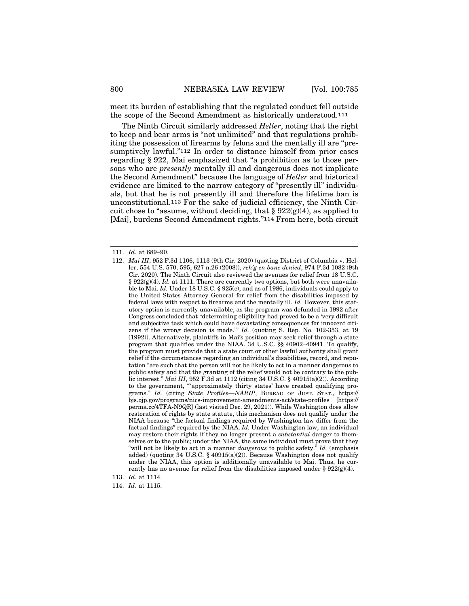meet its burden of establishing that the regulated conduct fell outside the scope of the Second Amendment as historically understood.111

The Ninth Circuit similarly addressed *Heller*, noting that the right to keep and bear arms is "not unlimited" and that regulations prohibiting the possession of firearms by felons and the mentally ill are "presumptively lawful."<sup>112</sup> In order to distance himself from prior cases regarding § 922, Mai emphasized that "a prohibition as to those persons who are *presently* mentally ill and dangerous does not implicate the Second Amendment" because the language of *Heller* and historical evidence are limited to the narrow category of "presently ill" individuals, but that he is not presently ill and therefore the lifetime ban is unconstitutional.113 For the sake of judicial efficiency, the Ninth Circuit chose to "assume, without deciding, that  $\S 922(g)(4)$ , as applied to [Mai], burdens Second Amendment rights."114 From here, both circuit

<sup>111.</sup> *Id.* at 689–90.

<sup>112.</sup> *Mai III*, 952 F.3d 1106, 1113 (9th Cir. 2020) (quoting District of Columbia v. Heller, 554 U.S. 570, 595, 627 n.26 (2008)), *reh'g en banc denied*, 974 F.3d 1082 (9th Cir. 2020). The Ninth Circuit also reviewed the avenues for relief from 18 U.S.C. § 922(g)(4). *Id.* at 1111. There are currently two options, but both were unavailable to Mai. *Id.* Under 18 U.S.C. § 925(c), and as of 1986, individuals could apply to the United States Attorney General for relief from the disabilities imposed by federal laws with respect to firearms and the mentally ill. *Id.* However, this statutory option is currently unavailable, as the program was defunded in 1992 after Congress concluded that "determining eligibility had proved to be a 'very difficult and subjective task which could have devastating consequences for innocent citizens if the wrong decision is made.'" *Id.* (quoting S. Rep. No. 102-353, at 19 (1992)). Alternatively, plaintiffs in Mai's position may seek relief through a state program that qualifies under the NIAA. 34 U.S.C. §§ 40902–40941. To qualify, the program must provide that a state court or other lawful authority shall grant relief if the circumstances regarding an individual's disabilities, record, and reputation "are such that the person will not be likely to act in a manner dangerous to public safety and that the granting of the relief would not be contrary to the public interest." *Mai III*, 952 F.3d at 1112 (citing 34 U.S.C. § 40915(a)(2)). According to the government, "'approximately thirty states' have created qualifying programs." *Id.* (citing *State Profiles—NARIP*, BUREAU OF JUST. STAT., https:// bjs.ojp.gov/programs/nics-improvement-amendments-act/state-profiles [https:// perma.cc/4TFA-N9QR] (last visited Dec. 29, 2021)). While Washington does allow restoration of rights by state statute, this mechanism does not qualify under the NIAA because "the factual findings required by Washington law differ from the factual findings" required by the NIAA. *Id.* Under Washington law, an individual may restore their rights if they no longer present a *substantial* danger to themselves or to the public; under the NIAA, the same individual must prove that they "will not be likely to act in a manner *dangerous* to public safety." *Id.* (emphasis added) (quoting 34 U.S.C. § 40915(a)(2)). Because Washington does not qualify under the NIAA, this option is additionally unavailable to Mai. Thus, he currently has no avenue for relief from the disabilities imposed under §  $922(g)(4)$ .

<sup>113.</sup> *Id.* at 1114.

<sup>114.</sup> *Id.* at 1115.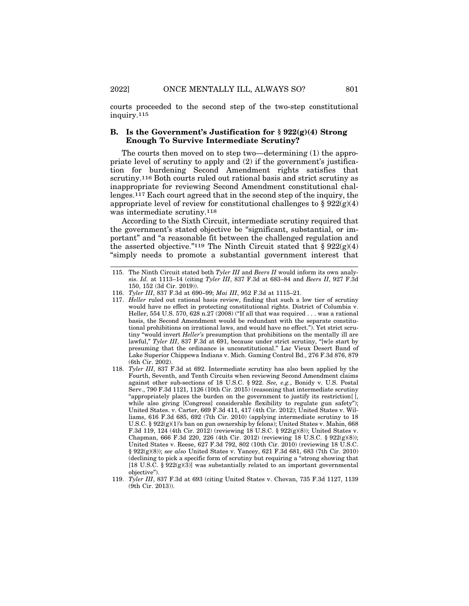courts proceeded to the second step of the two-step constitutional inquiry.115

#### **B. Is the Government's Justification for § 922(g)(4) Strong Enough To Survive Intermediate Scrutiny?**

The courts then moved on to step two—determining (1) the appropriate level of scrutiny to apply and (2) if the government's justification for burdening Second Amendment rights satisfies that scrutiny.116 Both courts ruled out rational basis and strict scrutiny as inappropriate for reviewing Second Amendment constitutional challenges.117 Each court agreed that in the second step of the inquiry, the appropriate level of review for constitutional challenges to §  $922(g)(4)$ was intermediate scrutiny.118

According to the Sixth Circuit, intermediate scrutiny required that the government's stated objective be "significant, substantial, or important" and "a reasonable fit between the challenged regulation and the asserted objective."<sup>119</sup> The Ninth Circuit stated that  $\S 922(g)(4)$ "simply needs to promote a substantial government interest that

<sup>115.</sup> The Ninth Circuit stated both *Tyler III* and *Beers II* would inform its own analysis. *Id.* at 1113–14 (citing *Tyler III*, 837 F.3d at 683–84 and *Beers II*, 927 F.3d 150, 152 (3d Cir. 2019)).

<sup>116.</sup> *Tyler III*, 837 F.3d at 690–99; *Mai III*, 952 F.3d at 1115–21.

<sup>117.</sup> *Heller* ruled out rational basis review, finding that such a low tier of scrutiny would have no effect in protecting constitutional rights. District of Columbia v. Heller, 554 U.S. 570, 628 n.27 (2008) ("If all that was required . . . was a rational basis, the Second Amendment would be redundant with the separate constitutional prohibitions on irrational laws, and would have no effect."). Yet strict scrutiny "would invert *Heller's* presumption that prohibitions on the mentally ill are lawful," *Tyler III*, 837 F.3d at 691, because under strict scrutiny, "[w]e start by presuming that the ordinance is unconstitutional." Lac Vieux Desert Band of Lake Superior Chippewa Indians v. Mich. Gaming Control Bd., 276 F.3d 876, 879 (6th Cir. 2002).

<sup>118.</sup> *Tyler III*, 837 F.3d at 692. Intermediate scrutiny has also been applied by the Fourth, Seventh, and Tenth Circuits when reviewing Second Amendment claims against other sub-sections of 18 U.S.C. § 922. *See, e.g.*, Bonidy v. U.S. Postal Serv., 790 F.3d 1121, 1126 (10th Cir. 2015) (reasoning that intermediate scrutiny "appropriately places the burden on the government to justify its restriction[ ], while also giving [Congress] considerable flexibility to regulate gun safety"); United States. v. Carter, 669 F.3d 411, 417 (4th Cir. 2012); United States v. Williams, 616 F.3d 685, 692 (7th Cir. 2010) (applying intermediate scrutiny to 18 U.S.C. § 922(g)(1)'s ban on gun ownership by felons); United States v. Mahin, 668 F.3d 119, 124 (4th Cir. 2012) (reviewing 18 U.S.C. § 922(g)(8)); United States v. Chapman, 666 F.3d 220, 226 (4th Cir. 2012) (reviewing 18 U.S.C. § 922(g)(8)); United States v. Reese, 627 F.3d 792, 802 (10th Cir. 2010) (reviewing 18 U.S.C. § 922(g)(8)); *see also* United States v. Yancey, 621 F.3d 681, 683 (7th Cir. 2010) (declining to pick a specific form of scrutiny but requiring a "strong showing that [18 U.S.C. § 922(g)(3)] was substantially related to an important governmental objective").

<sup>119.</sup> *Tyler III*, 837 F.3d at 693 (citing United States v. Chovan, 735 F.3d 1127, 1139 (9th Cir. 2013)).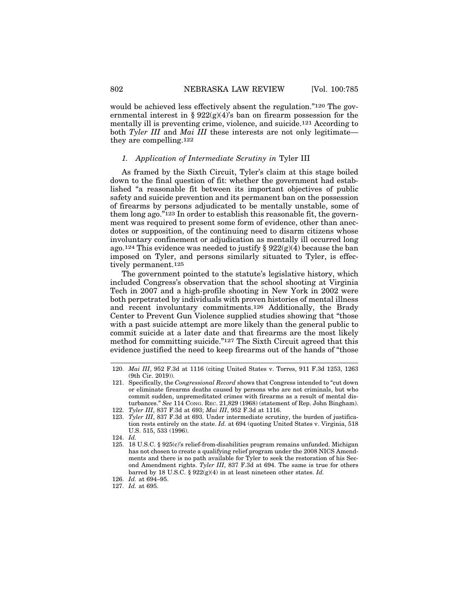would be achieved less effectively absent the regulation."120 The governmental interest in §  $922(g)(4)$ 's ban on firearm possession for the mentally ill is preventing crime, violence, and suicide.121 According to both *Tyler III* and *Mai III* these interests are not only legitimate they are compelling.122

#### *1. Application of Intermediate Scrutiny in* Tyler III

As framed by the Sixth Circuit, Tyler's claim at this stage boiled down to the final question of fit: whether the government had established "a reasonable fit between its important objectives of public safety and suicide prevention and its permanent ban on the possession of firearms by persons adjudicated to be mentally unstable, some of them long ago."<sup>123</sup> In order to establish this reasonable fit, the government was required to present some form of evidence, other than anecdotes or supposition, of the continuing need to disarm citizens whose involuntary confinement or adjudication as mentally ill occurred long ago.<sup>124</sup> This evidence was needed to justify  $\S 922(g)(4)$  because the ban imposed on Tyler, and persons similarly situated to Tyler, is effectively permanent.125

The government pointed to the statute's legislative history, which included Congress's observation that the school shooting at Virginia Tech in 2007 and a high-profile shooting in New York in 2002 were both perpetrated by individuals with proven histories of mental illness and recent involuntary commitments.<sup>126</sup> Additionally, the Brady Center to Prevent Gun Violence supplied studies showing that "those with a past suicide attempt are more likely than the general public to commit suicide at a later date and that firearms are the most likely method for committing suicide."127 The Sixth Circuit agreed that this evidence justified the need to keep firearms out of the hands of "those

<sup>120.</sup> *Mai III*, 952 F.3d at 1116 (citing United States v. Torres, 911 F.3d 1253, 1263 (9th Cir. 2019)).

<sup>121.</sup> Specifically, the *Congressional Record* shows that Congress intended to "cut down or eliminate firearms deaths caused by persons who are not criminals, but who commit sudden, unpremeditated crimes with firearms as a result of mental disturbances." *See* 114 CONG. REC. 21,829 (1968) (statement of Rep. John Bingham). 122. *Tyler III*, 837 F.3d at 693; *Mai III*, 952 F.3d at 1116.

<sup>123.</sup> *Tyler III*, 837 F.3d at 693. Under intermediate scrutiny, the burden of justification rests entirely on the state. *Id.* at 694 (quoting United States v. Virginia, 518 U.S. 515, 533 (1996).

<sup>124.</sup> *Id.*

<sup>125. 18</sup> U.S.C. § 925(c)'s relief-from-disabilities program remains unfunded. Michigan has not chosen to create a qualifying relief program under the 2008 NICS Amendments and there is no path available for Tyler to seek the restoration of his Second Amendment rights. *Tyler III*, 837 F.3d at 694. The same is true for others barred by 18 U.S.C. § 922(g)(4) in at least nineteen other states. *Id.* 126. *Id.* at 694–95.

<sup>127.</sup> *Id.* at 695.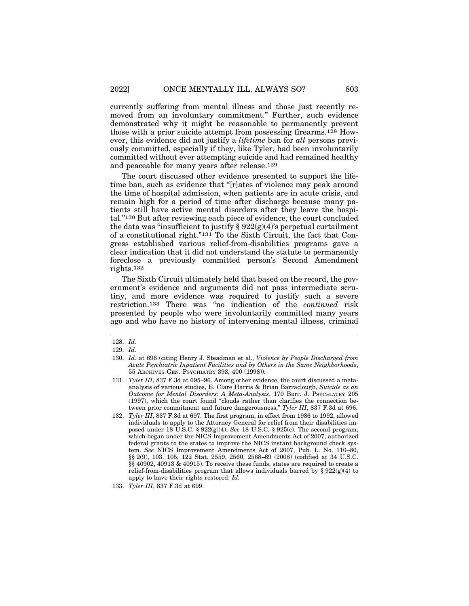currently suffering from mental illness and those just recently removed from an involuntary commitment." Further, such evidence demonstrated why it might be reasonable to permanently prevent those with a prior suicide attempt from possessing firearms.128 However, this evidence did not justify a *lifetime* ban for *all* persons previously committed, especially if they, like Tyler, had been involuntarily committed without ever attempting suicide and had remained healthy and peaceable for many years after release.129

The court discussed other evidence presented to support the lifetime ban, such as evidence that "[r]ates of violence may peak around the time of hospital admission, when patients are in acute crisis, and remain high for a period of time after discharge because many patients still have active mental disorders after they leave the hospital."130 But after reviewing each piece of evidence, the court concluded the data was "insufficient to justify  $\S 922(g)(4)$ 's perpetual curtailment of a constitutional right."131 To the Sixth Circuit, the fact that Congress established various relief-from-disabilities programs gave a clear indication that it did not understand the statute to permanently foreclose a previously committed person's Second Amendment rights.132

The Sixth Circuit ultimately held that based on the record, the government's evidence and arguments did not pass intermediate scrutiny, and more evidence was required to justify such a severe restriction.133 There was "no indication of the *continued* risk presented by people who were involuntarily committed many years ago and who have no history of intervening mental illness, criminal

<sup>128.</sup> *Id.*

<sup>129.</sup> *Id.*

<sup>130.</sup> *Id.* at 696 (citing Henry J. Steadman et al., *Violence by People Discharged from Acute Psychiatric Inpatient Facilities and by Others in the Same Neighborhoods*, 55 ARCHIVES GEN. PSYCHIATRY 393, 400 (1998)).

<sup>131.</sup> *Tyler III*, 837 F.3d at 695–96. Among other evidence, the court discussed a metaanalysis of various studies, E. Clare Harris & Brian Barraclough, *Suicide as an Outcome for Mental Disorders: A Meta-Analysis*, 170 BRIT. J. PSYCHIATRY 205 (1997), which the court found "clouds rather than clarifies the connection between prior commitment and future dangerousness," *Tyler III*, 837 F.3d at 696.

<sup>132.</sup> *Tyler III*, 837 F.3d at 697. The first program, in effect from 1986 to 1992, allowed individuals to apply to the Attorney General for relief from their disabilities imposed under 18 U.S.C. § 922(g)(4). *See* 18 U.S.C. § 925(c). The second program, which began under the NICS Improvement Amendments Act of 2007, authorized federal grants to the states to improve the NICS instant background check system. *See* NICS Improvement Amendments Act of 2007, Pub. L. No. 110–80, §§ 2(9), 103, 105, 122 Stat. 2559, 2560, 2568–69 (2008) (codified at 34 U.S.C. §§ 40902, 40913 & 40915). To receive these funds, states are required to create a relief-from-disabilities program that allows individuals barred by  $\S 922(g)(4)$  to apply to have their rights restored. *Id.*

<sup>133.</sup> *Tyler III*, 837 F.3d at 699.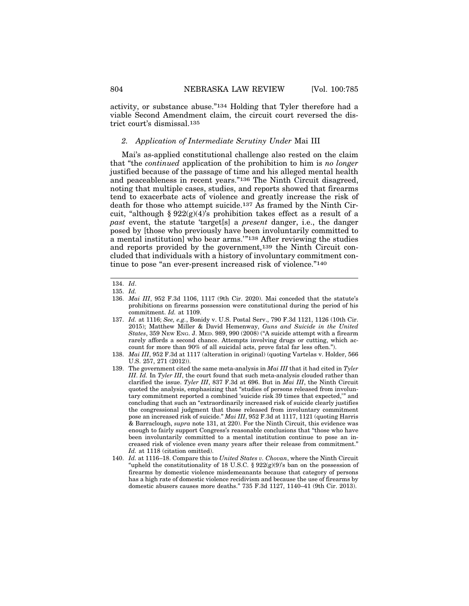activity, or substance abuse."134 Holding that Tyler therefore had a viable Second Amendment claim, the circuit court reversed the district court's dismissal.135

#### *2. Application of Intermediate Scrutiny Under* Mai III

Mai's as-applied constitutional challenge also rested on the claim that "the *continued* application of the prohibition to him is *no longer* justified because of the passage of time and his alleged mental health and peaceableness in recent years."136 The Ninth Circuit disagreed, noting that multiple cases, studies, and reports showed that firearms tend to exacerbate acts of violence and greatly increase the risk of death for those who attempt suicide.137 As framed by the Ninth Circuit, "although §  $922(g)(4)$ " s prohibition takes effect as a result of a *past* event, the statute 'target[s] a *present* danger, i.e., the danger posed by [those who previously have been involuntarily committed to a mental institution] who bear arms.'"138 After reviewing the studies and reports provided by the government,139 the Ninth Circuit concluded that individuals with a history of involuntary commitment continue to pose "an ever-present increased risk of violence."140

<sup>134.</sup> *Id*.

<sup>135.</sup> *Id.*

<sup>136.</sup> *Mai III*, 952 F.3d 1106, 1117 (9th Cir. 2020). Mai conceded that the statute's prohibitions on firearms possession were constitutional during the period of his commitment. *Id.* at 1109.

<sup>137.</sup> *Id.* at 1116; *See, e.g.*, Bonidy v. U.S. Postal Serv., 790 F.3d 1121, 1126 (10th Cir. 2015); Matthew Miller & David Hemenway, *Guns and Suicide in the United States*, 359 NEW ENG. J. MED. 989, 990 (2008) ("A suicide attempt with a firearm rarely affords a second chance. Attempts involving drugs or cutting, which account for more than 90% of all suicidal acts, prove fatal far less often.").

<sup>138.</sup> *Mai III*, 952 F.3d at 1117 (alteration in original) (quoting Vartelas v. Holder, 566 U.S. 257, 271 (2012)).

<sup>139.</sup> The government cited the same meta-analysis in *Mai III* that it had cited in *Tyler III*. *Id.* In *Tyler III*, the court found that such meta-analysis clouded rather than clarified the issue. *Tyler III*, 837 F.3d at 696. But in *Mai III*, the Ninth Circuit quoted the analysis, emphasizing that "studies of persons released from involuntary commitment reported a combined 'suicide risk 39 times that expected,'" and concluding that such an "extraordinarily increased risk of suicide clearly justifies the congressional judgment that those released from involuntary commitment pose an increased risk of suicide." *Mai III*, 952 F.3d at 1117, 1121 (quoting Harris & Barraclough, *supra* note 131, at 220). For the Ninth Circuit, this evidence was enough to fairly support Congress's reasonable conclusions that "those who have been involuntarily committed to a mental institution continue to pose an increased risk of violence even many years after their release from commitment." *Id.* at 1118 (citation omitted).

<sup>140.</sup> *Id.* at 1116–18. Compare this to *United States v. Chovan*, where the Ninth Circuit "upheld the constitutionality of 18 U.S.C. § 922(g)(9)'s ban on the possession of firearms by domestic violence misdemeanants because that category of persons has a high rate of domestic violence recidivism and because the use of firearms by domestic abusers causes more deaths." 735 F.3d 1127, 1140–41 (9th Cir. 2013).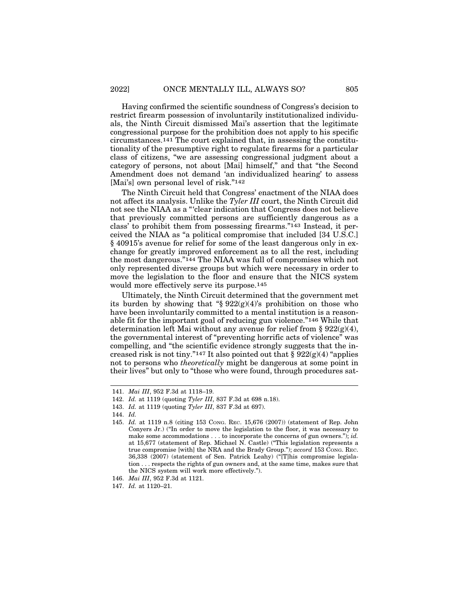Having confirmed the scientific soundness of Congress's decision to restrict firearm possession of involuntarily institutionalized individuals, the Ninth Circuit dismissed Mai's assertion that the legitimate congressional purpose for the prohibition does not apply to his specific circumstances.141 The court explained that, in assessing the constitutionality of the presumptive right to regulate firearms for a particular class of citizens, "we are assessing congressional judgment about a category of persons, not about [Mai] himself," and that "the Second Amendment does not demand 'an individualized hearing' to assess [Mai's] own personal level of risk."<sup>142</sup>

The Ninth Circuit held that Congress' enactment of the NIAA does not affect its analysis. Unlike the *Tyler III* court, the Ninth Circuit did not see the NIAA as a "'clear indication that Congress does not believe that previously committed persons are sufficiently dangerous as a class' to prohibit them from possessing firearms."143 Instead, it perceived the NIAA as "a political compromise that included [34 U.S.C.] § 40915's avenue for relief for some of the least dangerous only in exchange for greatly improved enforcement as to all the rest, including the most dangerous."144 The NIAA was full of compromises which not only represented diverse groups but which were necessary in order to move the legislation to the floor and ensure that the NICS system would more effectively serve its purpose.145

Ultimately, the Ninth Circuit determined that the government met its burden by showing that " $\S 922(g)(4)$ 's prohibition on those who have been involuntarily committed to a mental institution is a reasonable fit for the important goal of reducing gun violence."146 While that determination left Mai without any avenue for relief from §  $922(g)(4)$ , the governmental interest of "preventing horrific acts of violence" was compelling, and "the scientific evidence strongly suggests that the increased risk is not tiny."<sup>147</sup> It also pointed out that  $\S 922(g)(4)$  "applies" not to persons who *theoretically* might be dangerous at some point in their lives" but only to "those who were found, through procedures sat-

<sup>141.</sup> *Mai III*, 952 F.3d at 1118–19.

<sup>142.</sup> *Id.* at 1119 (quoting *Tyler III*, 837 F.3d at 698 n.18).

<sup>143.</sup> *Id.* at 1119 (quoting *Tyler III*, 837 F.3d at 697).

<sup>144.</sup> *Id.*

<sup>145.</sup> *Id.* at 1119 n.8 (citing 153 CONG. REC. 15,676 (2007)) (statement of Rep. John Conyers Jr.) ("In order to move the legislation to the floor, it was necessary to make some accommodations . . . to incorporate the concerns of gun owners."); *id.* at 15,677 (statement of Rep. Michael N. Castle) ("This legislation represents a true compromise [with] the NRA and the Brady Group."); *accord* 153 CONG. REC. 36,338 (2007) (statement of Sen. Patrick Leahy) ("[T]his compromise legislation . . . respects the rights of gun owners and, at the same time, makes sure that the NICS system will work more effectively.").

<sup>146.</sup> *Mai III*, 952 F.3d at 1121.

<sup>147.</sup> *Id.* at 1120–21.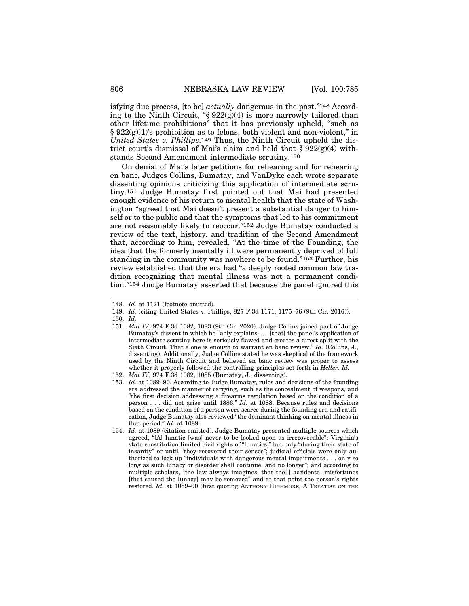isfying due process, [to be] *actually* dangerous in the past."148 According to the Ninth Circuit, "§  $922(g)(4)$  is more narrowly tailored than other lifetime prohibitions" that it has previously upheld, "such as  $§ 922(g)(1)$ 's prohibition as to felons, both violent and non-violent," in *United States v. Phillips*.149 Thus, the Ninth Circuit upheld the district court's dismissal of Mai's claim and held that  $\S 922(g)(4)$  withstands Second Amendment intermediate scrutiny.150

On denial of Mai's later petitions for rehearing and for rehearing en banc, Judges Collins, Bumatay, and VanDyke each wrote separate dissenting opinions criticizing this application of intermediate scrutiny.151 Judge Bumatay first pointed out that Mai had presented enough evidence of his return to mental health that the state of Washington "agreed that Mai doesn't present a substantial danger to himself or to the public and that the symptoms that led to his commitment are not reasonably likely to reoccur."152 Judge Bumatay conducted a review of the text, history, and tradition of the Second Amendment that, according to him, revealed, "At the time of the Founding, the idea that the formerly mentally ill were permanently deprived of full standing in the community was nowhere to be found."153 Further, his review established that the era had "a deeply rooted common law tradition recognizing that mental illness was not a permanent condition."154 Judge Bumatay asserted that because the panel ignored this

<sup>148.</sup> *Id.* at 1121 (footnote omitted).

<sup>149.</sup> *Id.* (citing United States v. Phillips, 827 F.3d 1171, 1175–76 (9th Cir. 2016)).

<sup>150.</sup> *Id.*

<sup>151.</sup> *Mai IV*, 974 F.3d 1082, 1083 (9th Cir. 2020). Judge Collins joined part of Judge Bumatay's dissent in which he "ably explains . . . [that] the panel's application of intermediate scrutiny here is seriously flawed and creates a direct split with the Sixth Circuit. That alone is enough to warrant en banc review." *Id.* (Collins, J., dissenting). Additionally, Judge Collins stated he was skeptical of the framework used by the Ninth Circuit and believed en banc review was proper to assess whether it properly followed the controlling principles set forth in *Heller*. *Id.*

<sup>152.</sup> *Mai IV*, 974 F.3d 1082, 1085 (Bumatay, J., dissenting).

<sup>153.</sup> *Id.* at 1089–90. According to Judge Bumatay, rules and decisions of the founding era addressed the manner of carrying, such as the concealment of weapons, and "the first decision addressing a firearms regulation based on the condition of a person . . . did not arise until 1886." *Id.* at 1088. Because rules and decisions based on the condition of a person were scarce during the founding era and ratification, Judge Bumatay also reviewed "the dominant thinking on mental illness in that period." *Id.* at 1089.

<sup>154.</sup> *Id.* at 1089 (citation omitted). Judge Bumatay presented multiple sources which agreed, "[A] lunatic [was] never to be looked upon as irrecoverable": Virginia's state constitution limited civil rights of "lunatics," but only "during their state of insanity" or until "they recovered their senses"; judicial officials were only authorized to lock up "individuals with dangerous mental impairments . . . only so long as such lunacy or disorder shall continue, and no longer"; and according to multiple scholars, "the law always imagines, that the[ ] accidental misfortunes [that caused the lunacy] may be removed" and at that point the person's rights restored. *Id.* at 1089–90 (first quoting ANTHONY HIGHMORE, A TREATISE ON THE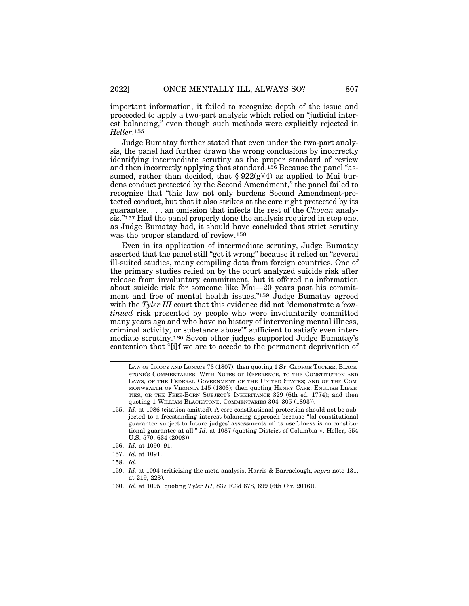important information, it failed to recognize depth of the issue and proceeded to apply a two-part analysis which relied on "judicial interest balancing," even though such methods were explicitly rejected in *Heller*.155

Judge Bumatay further stated that even under the two-part analysis, the panel had further drawn the wrong conclusions by incorrectly identifying intermediate scrutiny as the proper standard of review and then incorrectly applying that standard.156 Because the panel "assumed, rather than decided, that  $\S 922(g)(4)$  as applied to Mai burdens conduct protected by the Second Amendment," the panel failed to recognize that "this law not only burdens Second Amendment-protected conduct, but that it also strikes at the core right protected by its guarantee. . . . an omission that infects the rest of the *Chovan* analysis."157 Had the panel properly done the analysis required in step one, as Judge Bumatay had, it should have concluded that strict scrutiny was the proper standard of review.158

Even in its application of intermediate scrutiny, Judge Bumatay asserted that the panel still "got it wrong" because it relied on "several ill-suited studies, many compiling data from foreign countries. One of the primary studies relied on by the court analyzed suicide risk after release from involuntary commitment, but it offered no information about suicide risk for someone like Mai—20 years past his commitment and free of mental health issues."159 Judge Bumatay agreed with the *Tyler III* court that this evidence did not "demonstrate a '*continued* risk presented by people who were involuntarily committed many years ago and who have no history of intervening mental illness, criminal activity, or substance abuse'" sufficient to satisfy even intermediate scrutiny.160 Seven other judges supported Judge Bumatay's contention that "[i]f we are to accede to the permanent deprivation of

- 157. *Id*. at 1091.
- 158. *Id.*
- 159. *Id.* at 1094 (criticizing the meta-analysis, Harris & Barraclough, *supra* note 131, at 219, 223).
- 160. *Id.* at 1095 (quoting *Tyler III*, 837 F.3d 678, 699 (6th Cir. 2016)).

LAW OF IDIOCY AND LUNACY 73 (1807); then quoting 1 ST. GEORGE TUCKER, BLACK-STONE'S COMMENTARIES: WITH NOTES OF REFERENCE, TO THE CONSTITUTION AND LAWS, OF THE FEDERAL GOVERNMENT OF THE UNITED STATES; AND OF THE COM-MONWEALTH OF VIRGINIA 145 (1803); then quoting HENRY CARE, ENGLISH LIBER-TIES, OR THE FREE-BORN SUBJECT'S INHERITANCE 329 (6th ed. 1774); and then quoting 1 WILLIAM BLACKSTONE, COMMENTARIES 304–305 (1893)).

<sup>155.</sup> *Id.* at 1086 (citation omitted). A core constitutional protection should not be subjected to a freestanding interest-balancing approach because "[a] constitutional guarantee subject to future judges' assessments of its usefulness is no constitutional guarantee at all." *Id.* at 1087 (quoting District of Columbia v. Heller, 554 U.S. 570, 634 (2008)).

<sup>156.</sup> *Id*. at 1090–91.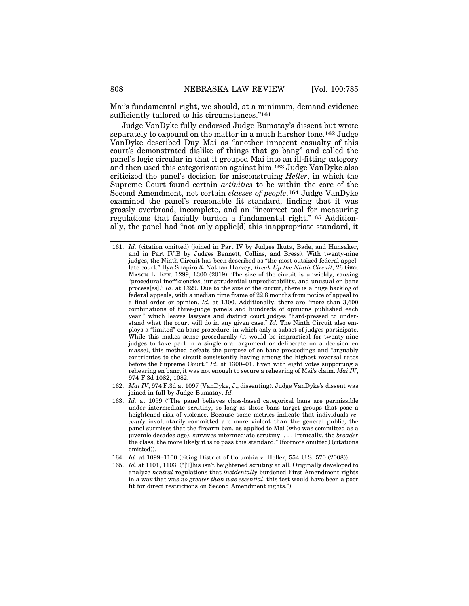Mai's fundamental right, we should, at a minimum, demand evidence sufficiently tailored to his circumstances."161

Judge VanDyke fully endorsed Judge Bumatay's dissent but wrote separately to expound on the matter in a much harsher tone.162 Judge VanDyke described Duy Mai as "another innocent casualty of this court's demonstrated dislike of things that go bang" and called the panel's logic circular in that it grouped Mai into an ill-fitting category and then used this categorization against him.163 Judge VanDyke also criticized the panel's decision for misconstruing *Heller*, in which the Supreme Court found certain *activities* to be within the core of the Second Amendment, not certain *classes of people*.164 Judge VanDyke examined the panel's reasonable fit standard, finding that it was grossly overbroad, incomplete, and an "incorrect tool for measuring regulations that facially burden a fundamental right."165 Additionally, the panel had "not only applie[d] this inappropriate standard, it

- 162. *Mai IV*, 974 F.3d at 1097 (VanDyke, J., dissenting). Judge VanDyke's dissent was joined in full by Judge Bumatay. *Id.*
- 163. *Id.* at 1099 ("The panel believes class-based categorical bans are permissible under intermediate scrutiny, so long as those bans target groups that pose a heightened risk of violence. Because some metrics indicate that individuals *recently* involuntarily committed are more violent than the general public, the panel surmises that the firearm ban, as applied to Mai (who was committed as a juvenile decades ago), survives intermediate scrutiny. . . . Ironically, the *broader* the class, the more likely it is to pass this standard." (footnote omitted) (citations omitted)).
- 164. *Id.* at 1099–1100 (citing District of Columbia v. Heller, 554 U.S. 570 (2008)).
- 165. *Id.* at 1101, 1103. ("[T]his isn't heightened scrutiny at all. Originally developed to analyze *neutral* regulations that *incidentally* burdened First Amendment rights in a way that was *no greater than was essential*, this test would have been a poor fit for direct restrictions on Second Amendment rights.").

<sup>161.</sup> *Id.* (citation omitted) (joined in Part IV by Judges Ikuta, Bade, and Hunsaker, and in Part IV.B by Judges Bennett, Collins, and Bress)*.* With twenty-nine judges, the Ninth Circuit has been described as "the most outsized federal appellate court." Ilya Shapiro & Nathan Harvey, *Break Up the Ninth Circuit*, 26 GEO. MASON L. REV. 1299, 1300 (2019). The size of the circuit is unwieldy, causing "procedural inefficiencies, jurisprudential unpredictability, and unusual en banc process[es]." *Id.* at 1329. Due to the size of the circuit, there is a huge backlog of federal appeals, with a median time frame of 22.8 months from notice of appeal to a final order or opinion. *Id.* at 1300. Additionally, there are "more than 3,600 combinations of three-judge panels and hundreds of opinions published each year," which leaves lawyers and district court judges "hard-pressed to understand what the court will do in any given case." *Id.* The Ninth Circuit also employs a "limited" en banc procedure, in which only a subset of judges participate. While this makes sense procedurally (it would be impractical for twenty-nine judges to take part in a single oral argument or deliberate on a decision en masse), this method defeats the purpose of en banc proceedings and "arguably contributes to the circuit consistently having among the highest reversal rates before the Supreme Court." *Id.* at 1300–01. Even with eight votes supporting a rehearing en banc, it was not enough to secure a rehearing of Mai's claim. *Mai IV*, 974 F.3d 1082, 1082.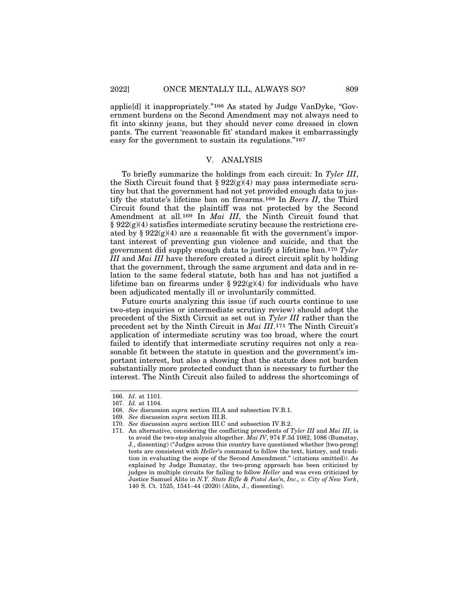applie[d] it inappropriately."166 As stated by Judge VanDyke, "Government burdens on the Second Amendment may not always need to fit into skinny jeans, but they should never come dressed in clown pants. The current 'reasonable fit' standard makes it embarrassingly easy for the government to sustain its regulations."167

#### V. ANALYSIS

To briefly summarize the holdings from each circuit: In *Tyler III*, the Sixth Circuit found that  $\S 922(g)(4)$  may pass intermediate scrutiny but that the government had not yet provided enough data to justify the statute's lifetime ban on firearms.168 In *Beers II*, the Third Circuit found that the plaintiff was not protected by the Second Amendment at all.169 In *Mai III*, the Ninth Circuit found that  $\S 922(g)(4)$  satisfies intermediate scrutiny because the restrictions created by  $\S 922(g)(4)$  are a reasonable fit with the government's important interest of preventing gun violence and suicide, and that the government did supply enough data to justify a lifetime ban.170 *Tyler III* and *Mai III* have therefore created a direct circuit split by holding that the government, through the same argument and data and in relation to the same federal statute, both has and has not justified a lifetime ban on firearms under  $\S 922(g)(4)$  for individuals who have been adjudicated mentally ill or involuntarily committed.

Future courts analyzing this issue (if such courts continue to use two-step inquiries or intermediate scrutiny review) should adopt the precedent of the Sixth Circuit as set out in *Tyler III* rather than the precedent set by the Ninth Circuit in *Mai III*.171 The Ninth Circuit's application of intermediate scrutiny was too broad, where the court failed to identify that intermediate scrutiny requires not only a reasonable fit between the statute in question and the government's important interest, but also a showing that the statute does not burden substantially more protected conduct than is necessary to further the interest. The Ninth Circuit also failed to address the shortcomings of

<sup>166.</sup> *Id*. at 1101.

<sup>167.</sup> *Id.* at 1104.

<sup>168.</sup> *See* discussion *supra* section III.A and subsection IV.B.1.

<sup>169.</sup> *See* discussion *supra* section III.B.

<sup>170.</sup> *See* discussion *supra* section III.C and subsection IV.B.2.

<sup>171.</sup> An alternative, considering the conflicting precedents of *Tyler III* and *Mai III*, is to avoid the two-step analysis altogether. *Mai IV*, 974 F.3d 1082, 1086 (Bumatay, J., dissenting) ("Judges across this country have questioned whether [two-prong] tests are consistent with *Heller*'s command to follow the text, history, and tradition in evaluating the scope of the Second Amendment." (citations omitted)). As explained by Judge Bumatay, the two-prong approach has been criticized by judges in multiple circuits for failing to follow *Heller* and was even criticized by Justice Samuel Alito in *N.Y. State Rifle & Pistol Ass'n, Inc., v. City of New York*, 140 S. Ct. 1525, 1541–44 (2020) (Alito, J., dissenting).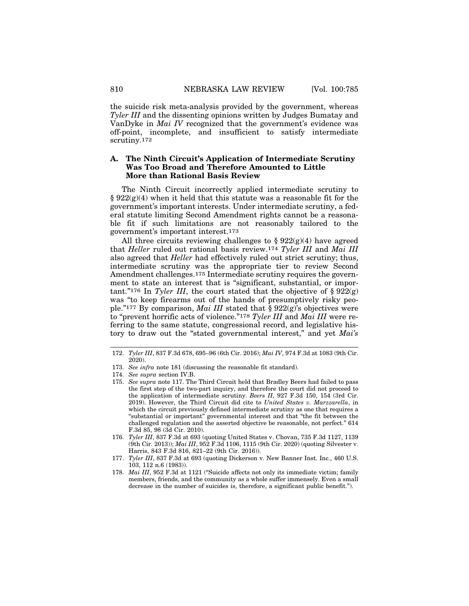the suicide risk meta-analysis provided by the government, whereas *Tyler III* and the dissenting opinions written by Judges Bumatay and VanDyke in *Mai IV* recognized that the government's evidence was off-point, incomplete, and insufficient to satisfy intermediate scrutiny.172

#### **A. The Ninth Circuit's Application of Intermediate Scrutiny Was Too Broad and Therefore Amounted to Little More than Rational Basis Review**

The Ninth Circuit incorrectly applied intermediate scrutiny to § 922(g)(4) when it held that this statute was a reasonable fit for the government's important interests. Under intermediate scrutiny, a federal statute limiting Second Amendment rights cannot be a reasonable fit if such limitations are not reasonably tailored to the government's important interest.173

All three circuits reviewing challenges to  $\S 922(g)(4)$  have agreed that *Heller* ruled out rational basis review.174 *Tyler III* and *Mai III* also agreed that *Heller* had effectively ruled out strict scrutiny; thus, intermediate scrutiny was the appropriate tier to review Second Amendment challenges.175 Intermediate scrutiny requires the government to state an interest that is "significant, substantial, or important."<sup>176</sup> In *Tyler III*, the court stated that the objective of  $\S 922(g)$ was "to keep firearms out of the hands of presumptively risky people."177 By comparison, *Mai III* stated that § 922(g)'s objectives were to "prevent horrific acts of violence."178 *Tyler III* and *Mai III* were referring to the same statute, congressional record, and legislative history to draw out the "stated governmental interest," and yet *Mai's*

<sup>172.</sup> *Tyler III*, 837 F.3d 678, 695–96 (6th Cir. 2016); *Mai IV*, 974 F.3d at 1083 (9th Cir. 2020).

<sup>173.</sup> *See infra* note 181 (discussing the reasonable fit standard).

<sup>174.</sup> *See supra* section IV.B.

<sup>175.</sup> *See supra* note 117. The Third Circuit held that Bradley Beers had failed to pass the first step of the two-part inquiry, and therefore the court did not proceed to the application of intermediate scrutiny. *Beers II*, 927 F.3d 150, 154 (3rd Cir. 2019). However, the Third Circuit did cite to *United States v. Marzzarella*, in which the circuit previously defined intermediate scrutiny as one that requires a "substantial or important" governmental interest and that "the fit between the challenged regulation and the asserted objective be reasonable, not perfect." 614 F.3d 85, 98 (3d Cir. 2010).

<sup>176.</sup> *Tyler III*, 837 F.3d at 693 (quoting United States v. Chovan, 735 F.3d 1127, 1139 (9th Cir. 2013)); *Mai III*, 952 F.3d 1106, 1115 (9th Cir. 2020) (quoting Silvester v. Harris, 843 F.3d 816, 821–22 (9th Cir. 2016)).

<sup>177.</sup> *Tyler III*, 837 F.3d at 693 (quoting Dickerson v. New Banner Inst. Inc., 460 U.S. 103, 112 n.6 (1983)).

<sup>178.</sup> *Mai III*, 952 F.3d at 1121 ("Suicide affects not only its immediate victim; family members, friends, and the community as a whole suffer immensely. Even a small decrease in the number of suicides is, therefore, a significant public benefit.").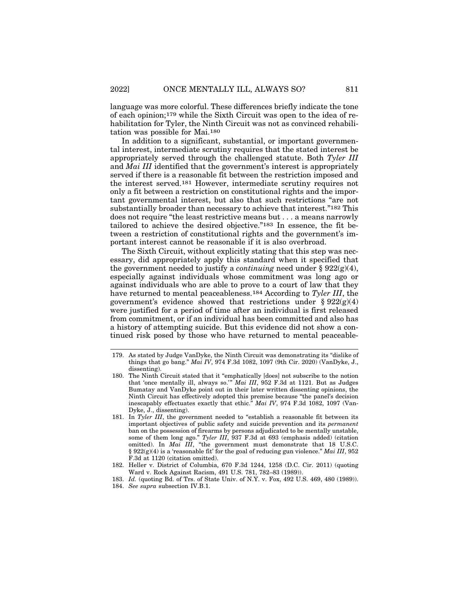language was more colorful. These differences briefly indicate the tone of each opinion;179 while the Sixth Circuit was open to the idea of rehabilitation for Tyler, the Ninth Circuit was not as convinced rehabilitation was possible for Mai.180

In addition to a significant, substantial, or important governmental interest, intermediate scrutiny requires that the stated interest be appropriately served through the challenged statute. Both *Tyler III* and *Mai III* identified that the government's interest is appropriately served if there is a reasonable fit between the restriction imposed and the interest served.181 However, intermediate scrutiny requires not only a fit between a restriction on constitutional rights and the important governmental interest, but also that such restrictions "are not substantially broader than necessary to achieve that interest."182 This does not require "the least restrictive means but . . . a means narrowly tailored to achieve the desired objective."183 In essence, the fit between a restriction of constitutional rights and the government's important interest cannot be reasonable if it is also overbroad.

The Sixth Circuit, without explicitly stating that this step was necessary, did appropriately apply this standard when it specified that the government needed to justify a *continuing* need under  $\S 922(g)(4)$ , especially against individuals whose commitment was long ago or against individuals who are able to prove to a court of law that they have returned to mental peaceableness.184 According to *Tyler III*, the government's evidence showed that restrictions under  $\S 922(g)(4)$ were justified for a period of time after an individual is first released from commitment, or if an individual has been committed and also has a history of attempting suicide. But this evidence did not show a continued risk posed by those who have returned to mental peaceable-

<sup>179.</sup> As stated by Judge VanDyke, the Ninth Circuit was demonstrating its "dislike of things that go bang." *Mai IV*, 974 F.3d 1082, 1097 (9th Cir. 2020) (VanDyke, J., dissenting).

<sup>180.</sup> The Ninth Circuit stated that it "emphatically [does] not subscribe to the notion that 'once mentally ill, always so.'" *Mai III*, 952 F.3d at 1121. But as Judges Bumatay and VanDyke point out in their later written dissenting opinions, the Ninth Circuit has effectively adopted this premise because "the panel's decision inescapably effectuates exactly that ethic." *Mai IV*, 974 F.3d 1082, 1097 (Van-Dyke, J., dissenting).

<sup>181.</sup> In *Tyler III*, the government needed to "establish a reasonable fit between its important objectives of public safety and suicide prevention and its *permanent* ban on the possession of firearms by persons adjudicated to be mentally unstable, some of them long ago." *Tyler III*, 937 F.3d at 693 (emphasis added) (citation omitted). In *Mai III*, "the government must demonstrate that 18 U.S.C. § 922(g)(4) is a 'reasonable fit' for the goal of reducing gun violence." *Mai III*, 952 F.3d at 1120 (citation omitted).

<sup>182.</sup> Heller v. District of Columbia, 670 F.3d 1244, 1258 (D.C. Cir. 2011) (quoting Ward v. Rock Against Racism, 491 U.S. 781, 782–83 (1989)).

<sup>183.</sup> *Id.* (quoting Bd. of Trs. of State Univ. of N.Y. v. Fox, 492 U.S. 469, 480 (1989)).

<sup>184.</sup> *See supra* subsection IV.B.1.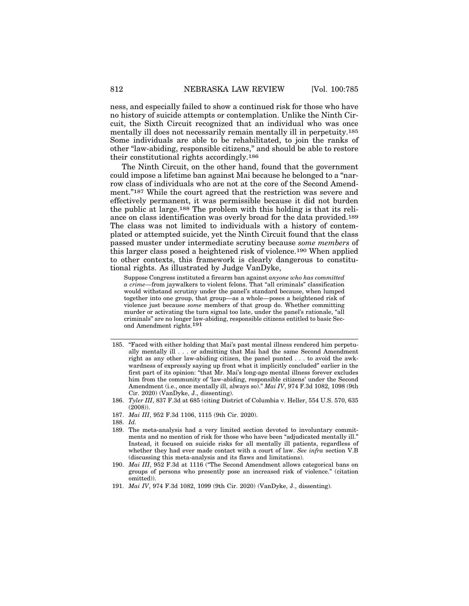ness, and especially failed to show a continued risk for those who have no history of suicide attempts or contemplation. Unlike the Ninth Circuit, the Sixth Circuit recognized that an individual who was once mentally ill does not necessarily remain mentally ill in perpetuity.185 Some individuals are able to be rehabilitated, to join the ranks of other "law-abiding, responsible citizens," and should be able to restore their constitutional rights accordingly.186

The Ninth Circuit, on the other hand, found that the government could impose a lifetime ban against Mai because he belonged to a "narrow class of individuals who are not at the core of the Second Amendment."187 While the court agreed that the restriction was severe and effectively permanent, it was permissible because it did not burden the public at large.188 The problem with this holding is that its reliance on class identification was overly broad for the data provided.189 The class was not limited to individuals with a history of contemplated or attempted suicide, yet the Ninth Circuit found that the class passed muster under intermediate scrutiny because *some members* of this larger class posed a heightened risk of violence.190 When applied to other contexts, this framework is clearly dangerous to constitutional rights. As illustrated by Judge VanDyke,

Suppose Congress instituted a firearm ban against *anyone who has committed a crime*—from jaywalkers to violent felons. That "all criminals" classification would withstand scrutiny under the panel's standard because, when lumped together into one group, that group—as a whole—poses a heightened risk of violence just because *some* members of that group do. Whether committing murder or activating the turn signal too late, under the panel's rationale, "all criminals" are no longer law-abiding, responsible citizens entitled to basic Second Amendment rights.191

- 185. "Faced with either holding that Mai's past mental illness rendered him perpetually mentally ill . . . or admitting that Mai had the same Second Amendment right as any other law-abiding citizen, the panel punted . . . to avoid the awkwardness of expressly saying up front what it implicitly concluded" earlier in the first part of its opinion: "that Mr. Mai's long-ago mental illness forever excludes him from the community of 'law-abiding, responsible citizens' under the Second Amendment (i.e., once mentally ill, always so)." *Mai IV*, 974 F.3d 1082, 1098 (9th Cir. 2020) (VanDyke, J., dissenting).
- 186. *Tyler III*, 837 F.3d at 685 (citing District of Columbia v. Heller, 554 U.S. 570, 635 (2008)).
- 187. *Mai III*, 952 F.3d 1106, 1115 (9th Cir. 2020).
- 188. *Id.*
- 189. The meta-analysis had a very limited section devoted to involuntary commitments and no mention of risk for those who have been "adjudicated mentally ill." Instead, it focused on suicide risks for all mentally ill patients, regardless of whether they had ever made contact with a court of law. *See infra* section V.B (discussing this meta-analysis and its flaws and limitations).
- 190. *Mai III*, 952 F.3d at 1116 ("The Second Amendment allows categorical bans on groups of persons who presently pose an increased risk of violence." (citation omitted)).
- 191. *Mai IV*, 974 F.3d 1082, 1099 (9th Cir. 2020) (VanDyke, J., dissenting).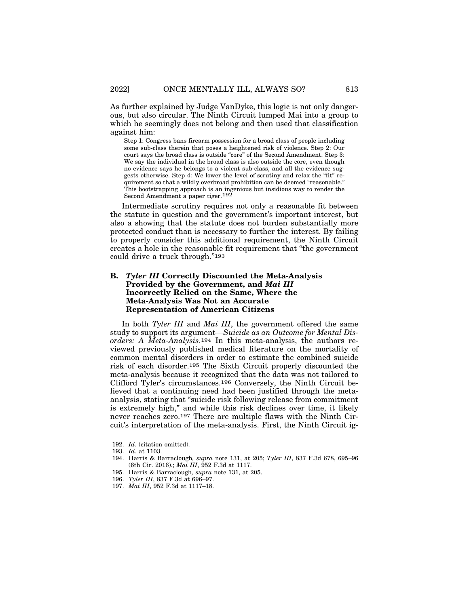As further explained by Judge VanDyke, this logic is not only dangerous, but also circular. The Ninth Circuit lumped Mai into a group to which he seemingly does not belong and then used that classification against him:

Step 1: Congress bans firearm possession for a broad class of people including some sub-class therein that poses a heightened risk of violence. Step 2: Our court says the broad class is outside "core" of the Second Amendment. Step 3: We say the individual in the broad class is also outside the core, even though no evidence says he belongs to a violent sub-class, and all the evidence suggests otherwise. Step 4: We lower the level of scrutiny and relax the "fit" requirement so that a wildly overbroad prohibition can be deemed "reasonable." This bootstrapping approach is an ingenious but insidious way to render the Second Amendment a paper tiger.192

Intermediate scrutiny requires not only a reasonable fit between the statute in question and the government's important interest, but also a showing that the statute does not burden substantially more protected conduct than is necessary to further the interest. By failing to properly consider this additional requirement, the Ninth Circuit creates a hole in the reasonable fit requirement that "the government could drive a truck through."193

#### **B.** *Tyler III* **Correctly Discounted the Meta-Analysis Provided by the Government, and** *Mai III* **Incorrectly Relied on the Same, Where the Meta-Analysis Was Not an Accurate Representation of American Citizens**

In both *Tyler III* and *Mai III*, the government offered the same study to support its argument—*Suicide as an Outcome for Mental Disorders: A Meta-Analysis*.194 In this meta-analysis, the authors reviewed previously published medical literature on the mortality of common mental disorders in order to estimate the combined suicide risk of each disorder.195 The Sixth Circuit properly discounted the meta-analysis because it recognized that the data was not tailored to Clifford Tyler's circumstances.196 Conversely, the Ninth Circuit believed that a continuing need had been justified through the metaanalysis, stating that "suicide risk following release from commitment is extremely high," and while this risk declines over time, it likely never reaches zero.197 There are multiple flaws with the Ninth Circuit's interpretation of the meta-analysis. First, the Ninth Circuit ig-

<sup>192.</sup> *Id.* (citation omitted).

<sup>193.</sup> *Id.* at 1103.

<sup>194.</sup> Harris & Barraclough*, supra* note 131, at 205; *Tyler III*, 837 F.3d 678, 695–96 (6th Cir. 2016).; *Mai III*, 952 F.3d at 1117.

<sup>195.</sup> Harris & Barraclough*, supra* note 131, at 205.

<sup>196.</sup> *Tyler III*, 837 F.3d at 696–97.

<sup>197.</sup> *Mai III*, 952 F.3d at 1117–18.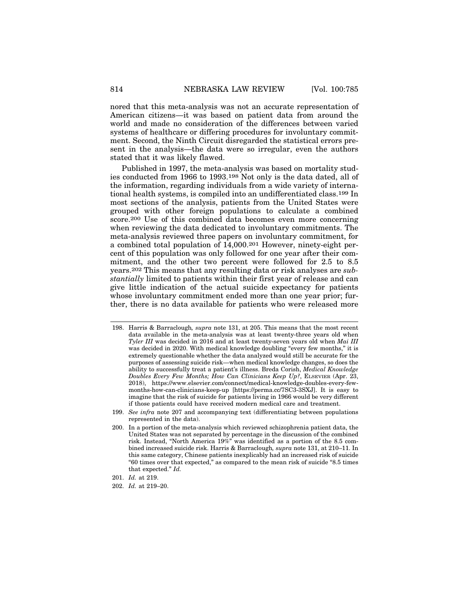nored that this meta-analysis was not an accurate representation of American citizens—it was based on patient data from around the world and made no consideration of the differences between varied systems of healthcare or differing procedures for involuntary commitment. Second, the Ninth Circuit disregarded the statistical errors present in the analysis—the data were so irregular, even the authors stated that it was likely flawed.

Published in 1997, the meta-analysis was based on mortality studies conducted from 1966 to 1993.198 Not only is the data dated, all of the information, regarding individuals from a wide variety of international health systems, is compiled into an undifferentiated class.199 In most sections of the analysis, patients from the United States were grouped with other foreign populations to calculate a combined score.200 Use of this combined data becomes even more concerning when reviewing the data dedicated to involuntary commitments. The meta-analysis reviewed three papers on involuntary commitment, for a combined total population of 14,000.201 However, ninety-eight percent of this population was only followed for one year after their commitment, and the other two percent were followed for 2.5 to 8.5 years.202 This means that any resulting data or risk analyses are *substantially* limited to patients within their first year of release and can give little indication of the actual suicide expectancy for patients whose involuntary commitment ended more than one year prior; further, there is no data available for patients who were released more

<sup>198.</sup> Harris & Barraclough*, supra* note 131, at 205. This means that the most recent data available in the meta-analysis was at least twenty-three years old when *Tyler III* was decided in 2016 and at least twenty-seven years old when *Mai III* was decided in 2020. With medical knowledge doubling "every few months," it is extremely questionable whether the data analyzed would still be accurate for the purposes of assessing suicide risk—when medical knowledge changes, so does the ability to successfully treat a patient's illness. Breda Corish, *Medical Knowledge Doubles Every Few Months; How Can Clinicians Keep Up?*, ELSEVIER (Apr. 23, 2018), https://www.elsevier.com/connect/medical-knowledge-doubles-every-fewmonths-how-can-clinicians-keep-up [https://perma.cc/7SC3-3SXJ]. It is easy to imagine that the risk of suicide for patients living in 1966 would be very different if those patients could have received modern medical care and treatment.

<sup>199.</sup> *See infra* note 207 and accompanying text (differentiating between populations represented in the data).

<sup>200.</sup> In a portion of the meta-analysis which reviewed schizophrenia patient data, the United States was not separated by percentage in the discussion of the combined risk. Instead, "North America 19%" was identified as a portion of the 8.5 combined increased suicide risk. Harris & Barraclough*, supra* note 131, at 210–11. In this same category, Chinese patients inexplicably had an increased risk of suicide "60 times over that expected," as compared to the mean risk of suicide "8.5 times that expected." *Id.*

<sup>201.</sup> *Id.* at 219.

<sup>202.</sup> *Id.* at 219–20.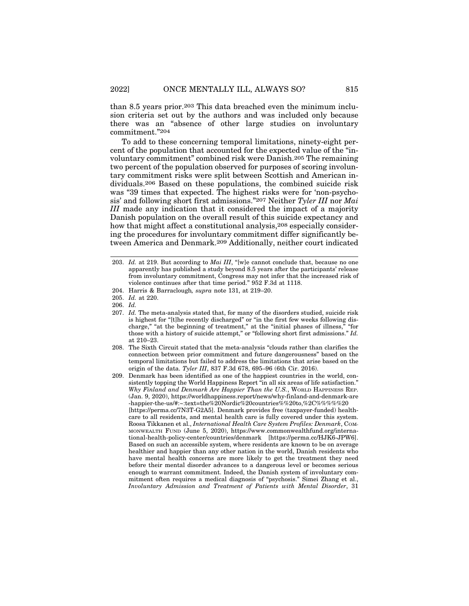than 8.5 years prior.203 This data breached even the minimum inclusion criteria set out by the authors and was included only because there was an "absence of other large studies on involuntary commitment."204

To add to these concerning temporal limitations, ninety-eight percent of the population that accounted for the expected value of the "involuntary commitment" combined risk were Danish.205 The remaining two percent of the population observed for purposes of scoring involuntary commitment risks were split between Scottish and American individuals.206 Based on these populations, the combined suicide risk was "39 times that expected. The highest risks were for 'non-psychosis' and following short first admissions."207 Neither *Tyler III* nor *Mai III* made any indication that it considered the impact of a majority Danish population on the overall result of this suicide expectancy and how that might affect a constitutional analysis,208 especially considering the procedures for involuntary commitment differ significantly between America and Denmark.209 Additionally, neither court indicated

<sup>203.</sup> *Id.* at 219. But according to *Mai III*, "[w]e cannot conclude that, because no one apparently has published a study beyond 8.5 years after the participants' release from involuntary commitment, Congress may not infer that the increased risk of violence continues after that time period." 952 F.3d at 1118.

<sup>204.</sup> Harris & Barraclough*, supra* note 131, at 219–20.

<sup>205.</sup> *Id.* at 220.

<sup>206.</sup> *Id.*

<sup>207.</sup> *Id.* The meta-analysis stated that, for many of the disorders studied, suicide risk is highest for "[t]he recently discharged" or "in the first few weeks following discharge," "at the beginning of treatment," at the "initial phases of illness," "for those with a history of suicide attempt," or "following short first admissions." *Id.* at 210–23.

<sup>208.</sup> The Sixth Circuit stated that the meta-analysis "clouds rather than clarifies the connection between prior commitment and future dangerousness" based on the temporal limitations but failed to address the limitations that arise based on the origin of the data. *Tyler III*, 837 F.3d 678, 695–96 (6th Cir. 2016).

<sup>209.</sup> Denmark has been identified as one of the happiest countries in the world, consistently topping the World Happiness Report "in all six areas of life satisfaction." *Why Finland and Denmark Are Happier Than the U.S.*, WORLD HAPPINESS REP. (Jan. 9, 2020), https://worldhappiness.report/news/why-finland-and-denmark-are -happier-the-us/#:~:text=the%20Nordic%20countries%%20to,%2C%%%%%20 [https://perma.cc/7N3T-G2A5]. Denmark provides free (taxpayer-funded) healthcare to all residents, and mental health care is fully covered under this system. Roosa Tikkanen et al., *International Health Care System Profiles: Denmark*, COM-MONWEALTH FUND (June 5, 2020), https://www.commonwealthfund.org/international-health-policy-center/countries/denmark [https://perma.cc/HJK6-JPW6]. Based on such an accessible system, where residents are known to be on average healthier and happier than any other nation in the world, Danish residents who have mental health concerns are more likely to get the treatment they need before their mental disorder advances to a dangerous level or becomes serious enough to warrant commitment. Indeed, the Danish system of involuntary commitment often requires a medical diagnosis of "psychosis." Simei Zhang et al., *Involuntary Admission and Treatment of Patients with Mental Disorder*, 31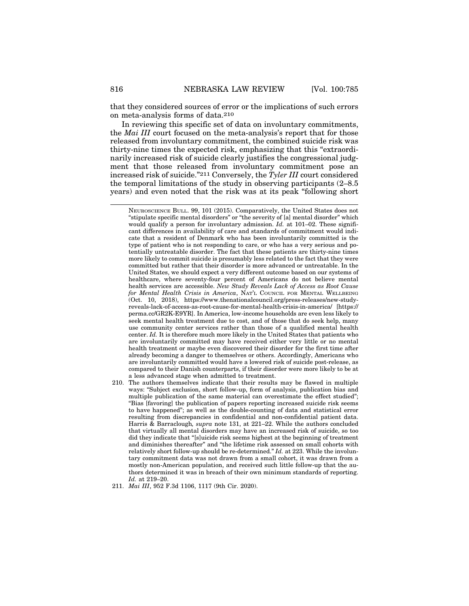that they considered sources of error or the implications of such errors on meta-analysis forms of data.210

In reviewing this specific set of data on involuntary commitments, the *Mai III* court focused on the meta-analysis's report that for those released from involuntary commitment, the combined suicide risk was thirty-nine times the expected risk, emphasizing that this "extraordinarily increased risk of suicide clearly justifies the congressional judgment that those released from involuntary commitment pose an increased risk of suicide."211 Conversely, the *Tyler III* court considered the temporal limitations of the study in observing participants (2–8.5 years) and even noted that the risk was at its peak "following short

210. The authors themselves indicate that their results may be flawed in multiple ways: "Subject exclusion, short follow-up, form of analysis, publication bias and multiple publication of the same material can overestimate the effect studied"; "Bias [favoring] the publication of papers reporting increased suicide risk seems to have happened"; as well as the double-counting of data and statistical error resulting from discrepancies in confidential and non-confidential patient data. Harris & Barraclough*, supra* note 131, at 221–22. While the authors concluded that virtually all mental disorders may have an increased risk of suicide, so too did they indicate that "[s]uicide risk seems highest at the beginning of treatment and diminishes thereafter" and "the lifetime risk assessed on small cohorts with relatively short follow-up should be re-determined." *Id.* at 223. While the involuntary commitment data was not drawn from a small cohort, it was drawn from a mostly non-American population, and received such little follow-up that the authors determined it was in breach of their own minimum standards of reporting. *Id.* at 219–20.

NEUROSCIENCE BULL. 99, 101 (2015). Comparatively, the United States does not "stipulate specific mental disorders" or "the severity of [a] mental disorder" which would qualify a person for involuntary admission. *Id.* at 101–02. These significant differences in availability of care and standards of commitment would indicate that a resident of Denmark who has been involuntarily committed is the type of patient who is not responding to care, or who has a very serious and potentially untreatable disorder. The fact that these patients are thirty-nine times more likely to commit suicide is presumably less related to the fact that they were committed but rather that their disorder is more advanced or untreatable. In the United States, we should expect a very different outcome based on our systems of healthcare, where seventy-four percent of Americans do not believe mental health services are accessible. *New Study Reveals Lack of Access as Root Cause for Mental Health Crisis in America*, NAT'L COUNCIL FOR MENTAL WELLBEING (Oct. 10, 2018), https://www.thenationalcouncil.org/press-releases/new-studyreveals-lack-of-access-as-root-cause-for-mental-health-crisis-in-america/ [https:// perma.cc/GR2K-E9YR]. In America, low-income households are even less likely to seek mental health treatment due to cost, and of those that do seek help, many use community center services rather than those of a qualified mental health center. *Id.* It is therefore much more likely in the United States that patients who are involuntarily committed may have received either very little or no mental health treatment or maybe even discovered their disorder for the first time after already becoming a danger to themselves or others. Accordingly, Americans who are involuntarily committed would have a lowered risk of suicide post-release, as compared to their Danish counterparts, if their disorder were more likely to be at a less advanced stage when admitted to treatment.

<sup>211.</sup> *Mai III*, 952 F.3d 1106, 1117 (9th Cir. 2020).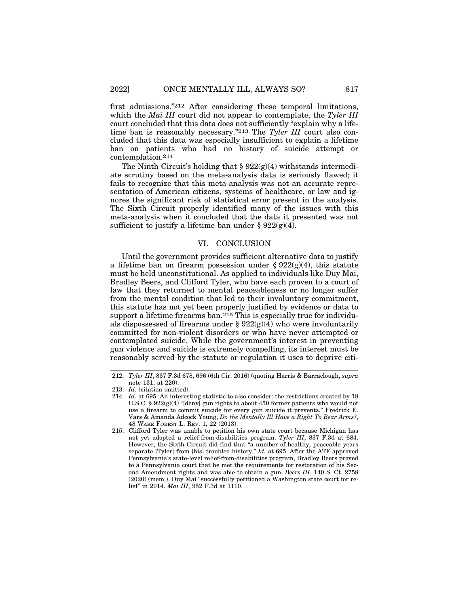first admissions."212 After considering these temporal limitations, which the *Mai III* court did not appear to contemplate, the *Tyler III* court concluded that this data does not sufficiently "explain why a lifetime ban is reasonably necessary."213 The *Tyler III* court also concluded that this data was especially insufficient to explain a lifetime ban on patients who had no history of suicide attempt or contemplation.214

The Ninth Circuit's holding that  $\S 922(g)(4)$  withstands intermediate scrutiny based on the meta-analysis data is seriously flawed; it fails to recognize that this meta-analysis was not an accurate representation of American citizens, systems of healthcare, or law and ignores the significant risk of statistical error present in the analysis. The Sixth Circuit properly identified many of the issues with this meta-analysis when it concluded that the data it presented was not sufficient to justify a lifetime ban under §  $922(g)(4)$ .

#### VI. CONCLUSION

Until the government provides sufficient alternative data to justify a lifetime ban on firearm possession under  $\S 922(g)(4)$ , this statute must be held unconstitutional. As applied to individuals like Duy Mai, Bradley Beers, and Clifford Tyler, who have each proven to a court of law that they returned to mental peaceableness or no longer suffer from the mental condition that led to their involuntary commitment, this statute has not yet been properly justified by evidence or data to support a lifetime firearms ban.215 This is especially true for individuals dispossessed of firearms under  $\S 922(g)(4)$  who were involuntarily committed for non-violent disorders or who have never attempted or contemplated suicide. While the government's interest in preventing gun violence and suicide is extremely compelling, its interest must be reasonably served by the statute or regulation it uses to deprive citi-

<sup>212.</sup> *Tyler III*, 837 F.3d 678, 696 (6th Cir. 2016) (quoting Harris & Barraclough, *supra* note 131, at 220).

<sup>213.</sup> *Id.* (citation omitted).

<sup>214.</sup> *Id.* at 695. An interesting statistic to also consider: the restrictions created by 18 U.S.C. § 922(g)(4) "[deny] gun rights to about 450 former patients who would not use a firearm to commit suicide for every gun suicide it prevents." Fredrick E. Vars & Amanda Adcock Young, *Do the Mentally Ill Have a Right To Bear Arms?*, 48 WAKE FOREST L. REV. 1, 22 (2013).

<sup>215.</sup> Clifford Tyler was unable to petition his own state court because Michigan has not yet adopted a relief-from-disabilities program. *Tyler III*, 837 F.3d at 684. However, the Sixth Circuit did find that "a number of healthy, peaceable years separate [Tyler] from [his] troubled history." *Id.* at 695. After the ATF approved Pennsylvania's state-level relief-from-disabilities program, Bradley Beers proved to a Pennsylvania court that he met the requirements for restoration of his Second Amendment rights and was able to obtain a gun. *Beers III*, 140 S. Ct. 2758 (2020) (mem.). Duy Mai "successfully petitioned a Washington state court for relief" in 2014. *Mai III*, 952 F.3d at 1110.